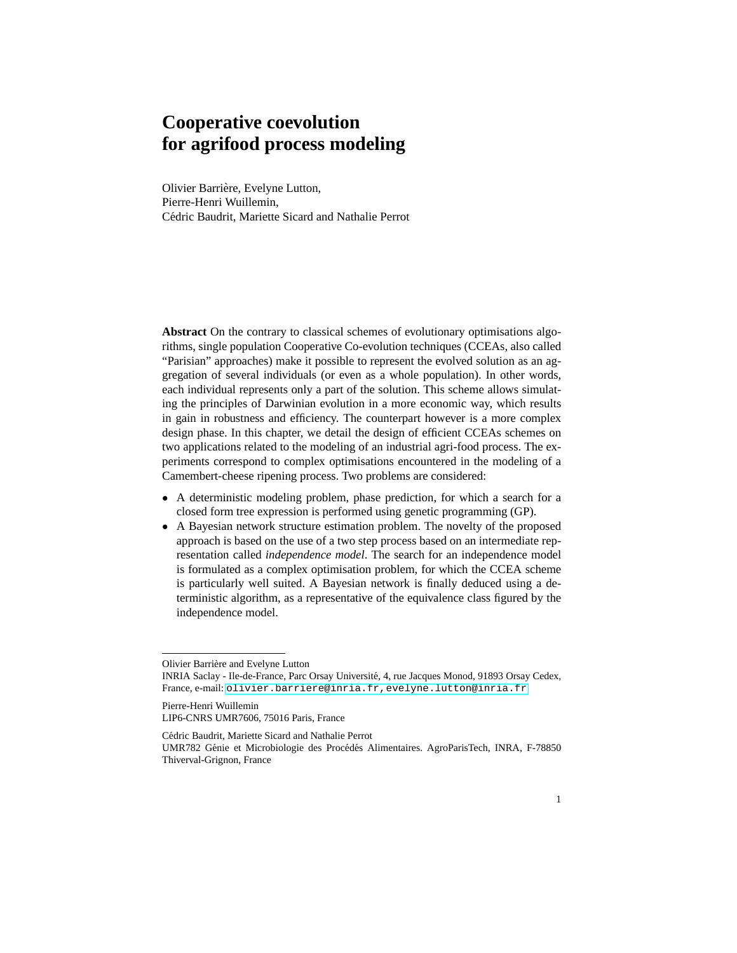# **Cooperative coevolution for agrifood process modeling**

Olivier Barrière, Evelyne Lutton, Pierre-Henri Wuillemin, Cedric Baudrit, Mariette Sicard and Nathalie Perrot ´

**Abstract** On the contrary to classical schemes of evolutionary optimisations algorithms, single population Cooperative Co-evolution techniques (CCEAs, also called "Parisian" approaches) make it possible to represent the evolved solution as an aggregation of several individuals (or even as a whole population). In other words, each individual represents only a part of the solution. This scheme allows simulating the principles of Darwinian evolution in a more economic way, which results in gain in robustness and efficiency. The counterpart however is a more complex design phase. In this chapter, we detail the design of efficient CCEAs schemes on two applications related to the modeling of an industrial agri-food process. The experiments correspond to complex optimisations encountered in the modeling of a Camembert-cheese ripening process. Two problems are considered:

- A deterministic modeling problem, phase prediction, for which a search for a closed form tree expression is performed using genetic programming (GP).
- A Bayesian network structure estimation problem. The novelty of the proposed approach is based on the use of a two step process based on an intermediate representation called *independence model*. The search for an independence model is formulated as a complex optimisation problem, for which the CCEA scheme is particularly well suited. A Bayesian network is finally deduced using a deterministic algorithm, as a representative of the equivalence class figured by the independence model.

Olivier Barrière and Evelyne Lutton

Pierre-Henri Wuillemin LIP6-CNRS UMR7606, 75016 Paris, France

INRIA Saclay - Ile-de-France, Parc Orsay Universite, 4, rue Jacques Monod, 91893 Orsay Cedex, ´ France, e-mail: [olivier.barriere@inria.fr,evelyne.lutton@inria.fr](olivier.barriere@inria.fr, evelyne.lutton@inria.fr)

Cédric Baudrit, Mariette Sicard and Nathalie Perrot UMR782 Génie et Microbiologie des Procédés Alimentaires. AgroParisTech, INRA, F-78850 Thiverval-Grignon, France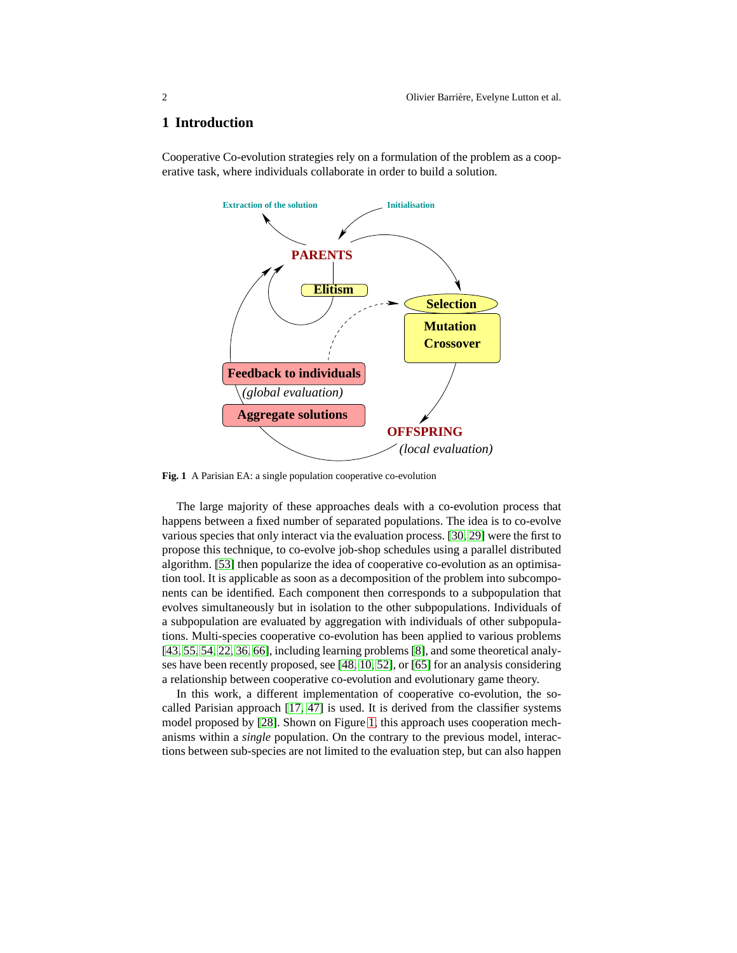# **1 Introduction**

Cooperative Co-evolution strategies rely on a formulation of the problem as a cooperative task, where individuals collaborate in order to build a solution.



<span id="page-1-0"></span>**Fig. 1** A Parisian EA: a single population cooperative co-evolution

The large majority of these approaches deals with a co-evolution process that happens between a fixed number of separated populations. The idea is to co-evolve various species that only interact via the evaluation process. [\[30,](#page-39-0) [29\]](#page-39-1) were the first to propose this technique, to co-evolve job-shop schedules using a parallel distributed algorithm. [\[53\]](#page-40-0) then popularize the idea of cooperative co-evolution as an optimisation tool. It is applicable as soon as a decomposition of the problem into subcomponents can be identified. Each component then corresponds to a subpopulation that evolves simultaneously but in isolation to the other subpopulations. Individuals of a subpopulation are evaluated by aggregation with individuals of other subpopulations. Multi-species cooperative co-evolution has been applied to various problems [\[43,](#page-40-1) [55,](#page-40-2) [54,](#page-40-3) [22,](#page-39-2) [36,](#page-39-3) [66\]](#page-41-0), including learning problems [\[8\]](#page-38-0), and some theoretical analyses have been recently proposed, see [\[48,](#page-40-4) [10,](#page-38-1) [52\]](#page-40-5), or [\[65\]](#page-41-1) for an analysis considering a relationship between cooperative co-evolution and evolutionary game theory.

In this work, a different implementation of cooperative co-evolution, the socalled Parisian approach [\[17,](#page-38-2) [47\]](#page-40-6) is used. It is derived from the classifier systems model proposed by [\[28\]](#page-39-4). Shown on Figure [1,](#page-1-0) this approach uses cooperation mechanisms within a *single* population. On the contrary to the previous model, interactions between sub-species are not limited to the evaluation step, but can also happen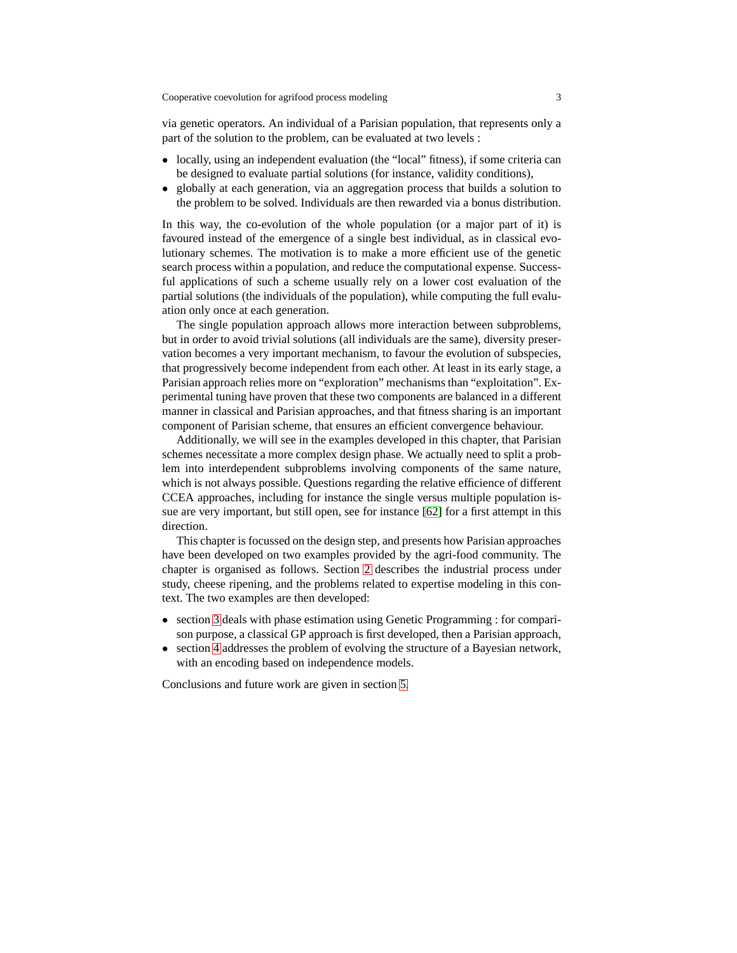via genetic operators. An individual of a Parisian population, that represents only a part of the solution to the problem, can be evaluated at two levels :

- locally, using an independent evaluation (the "local" fitness), if some criteria can be designed to evaluate partial solutions (for instance, validity conditions),
- globally at each generation, via an aggregation process that builds a solution to the problem to be solved. Individuals are then rewarded via a bonus distribution.

In this way, the co-evolution of the whole population (or a major part of it) is favoured instead of the emergence of a single best individual, as in classical evolutionary schemes. The motivation is to make a more efficient use of the genetic search process within a population, and reduce the computational expense. Successful applications of such a scheme usually rely on a lower cost evaluation of the partial solutions (the individuals of the population), while computing the full evaluation only once at each generation.

The single population approach allows more interaction between subproblems, but in order to avoid trivial solutions (all individuals are the same), diversity preservation becomes a very important mechanism, to favour the evolution of subspecies, that progressively become independent from each other. At least in its early stage, a Parisian approach relies more on "exploration" mechanisms than "exploitation". Experimental tuning have proven that these two components are balanced in a different manner in classical and Parisian approaches, and that fitness sharing is an important component of Parisian scheme, that ensures an efficient convergence behaviour.

Additionally, we will see in the examples developed in this chapter, that Parisian schemes necessitate a more complex design phase. We actually need to split a problem into interdependent subproblems involving components of the same nature, which is not always possible. Questions regarding the relative efficience of different CCEA approaches, including for instance the single versus multiple population issue are very important, but still open, see for instance [\[62\]](#page-41-2) for a first attempt in this direction.

This chapter is focussed on the design step, and presents how Parisian approaches have been developed on two examples provided by the agri-food community. The chapter is organised as follows. Section [2](#page-3-0) describes the industrial process under study, cheese ripening, and the problems related to expertise modeling in this context. The two examples are then developed:

- section [3](#page-7-0) deals with phase estimation using Genetic Programming : for comparison purpose, a classical GP approach is first developed, then a Parisian approach,
- section [4](#page-17-0) addresses the problem of evolving the structure of a Bayesian network, with an encoding based on independence models.

Conclusions and future work are given in section [5.](#page-36-0)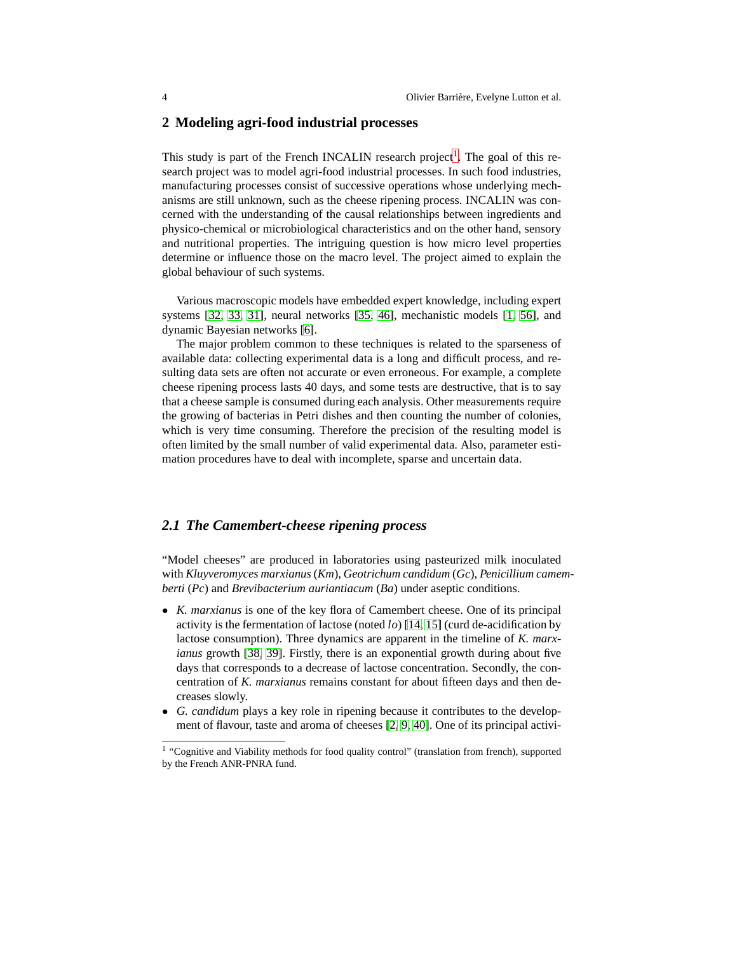# <span id="page-3-0"></span>**2 Modeling agri-food industrial processes**

This study is part of the French INCALIN research project<sup>[1](#page-3-1)</sup>. The goal of this research project was to model agri-food industrial processes. In such food industries, manufacturing processes consist of successive operations whose underlying mechanisms are still unknown, such as the cheese ripening process. INCALIN was concerned with the understanding of the causal relationships between ingredients and physico-chemical or microbiological characteristics and on the other hand, sensory and nutritional properties. The intriguing question is how micro level properties determine or influence those on the macro level. The project aimed to explain the global behaviour of such systems.

Various macroscopic models have embedded expert knowledge, including expert systems [\[32,](#page-39-5) [33,](#page-39-6) [31\]](#page-39-7), neural networks [\[35,](#page-39-8) [46\]](#page-40-7), mechanistic models [\[1,](#page-38-3) [56\]](#page-40-8), and dynamic Bayesian networks [\[6\]](#page-38-4).

The major problem common to these techniques is related to the sparseness of available data: collecting experimental data is a long and difficult process, and resulting data sets are often not accurate or even erroneous. For example, a complete cheese ripening process lasts 40 days, and some tests are destructive, that is to say that a cheese sample is consumed during each analysis. Other measurements require the growing of bacterias in Petri dishes and then counting the number of colonies, which is very time consuming. Therefore the precision of the resulting model is often limited by the small number of valid experimental data. Also, parameter estimation procedures have to deal with incomplete, sparse and uncertain data.

# <span id="page-3-2"></span>*2.1 The Camembert-cheese ripening process*

"Model cheeses" are produced in laboratories using pasteurized milk inoculated with *Kluyveromyces marxianus*(*Km*), *Geotrichum candidum* (*Gc*), *Penicillium camemberti* (*Pc*) and *Brevibacterium auriantiacum* (*Ba*) under aseptic conditions.

- *K. marxianus* is one of the key flora of Camembert cheese. One of its principal activity is the fermentation of lactose (noted *lo*) [\[14,](#page-38-5) [15\]](#page-38-6) (curd de-acidification by lactose consumption). Three dynamics are apparent in the timeline of *K. marxianus* growth [\[38,](#page-39-9) [39\]](#page-39-10). Firstly, there is an exponential growth during about five days that corresponds to a decrease of lactose concentration. Secondly, the concentration of *K. marxianus* remains constant for about fifteen days and then decreases slowly.
- *G. candidum* plays a key role in ripening because it contributes to the development of flavour, taste and aroma of cheeses [\[2,](#page-38-7) [9,](#page-38-8) [40\]](#page-40-9). One of its principal activi-

<span id="page-3-1"></span><sup>&</sup>lt;sup>1</sup> "Cognitive and Viability methods for food quality control" (translation from french), supported by the French ANR-PNRA fund.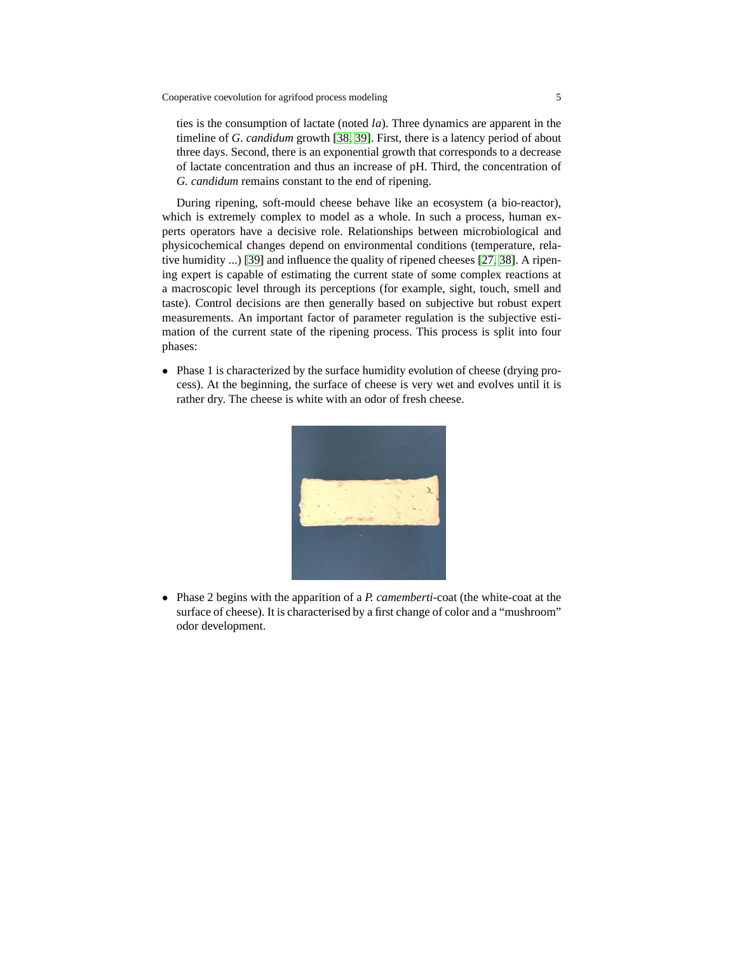ties is the consumption of lactate (noted *la*). Three dynamics are apparent in the timeline of *G. candidum* growth [\[38,](#page-39-9) [39\]](#page-39-10). First, there is a latency period of about three days. Second, there is an exponential growth that corresponds to a decrease of lactate concentration and thus an increase of pH. Third, the concentration of *G. candidum* remains constant to the end of ripening.

During ripening, soft-mould cheese behave like an ecosystem (a bio-reactor), which is extremely complex to model as a whole. In such a process, human experts operators have a decisive role. Relationships between microbiological and physicochemical changes depend on environmental conditions (temperature, relative humidity ...) [\[39\]](#page-39-10) and influence the quality of ripened cheeses [\[27,](#page-39-11) [38\]](#page-39-9). A ripening expert is capable of estimating the current state of some complex reactions at a macroscopic level through its perceptions (for example, sight, touch, smell and taste). Control decisions are then generally based on subjective but robust expert measurements. An important factor of parameter regulation is the subjective estimation of the current state of the ripening process. This process is split into four phases:

• Phase 1 is characterized by the surface humidity evolution of cheese (drying process). At the beginning, the surface of cheese is very wet and evolves until it is rather dry. The cheese is white with an odor of fresh cheese.



• Phase 2 begins with the apparition of a *P. camemberti*-coat (the white-coat at the surface of cheese). It is characterised by a first change of color and a "mushroom" odor development.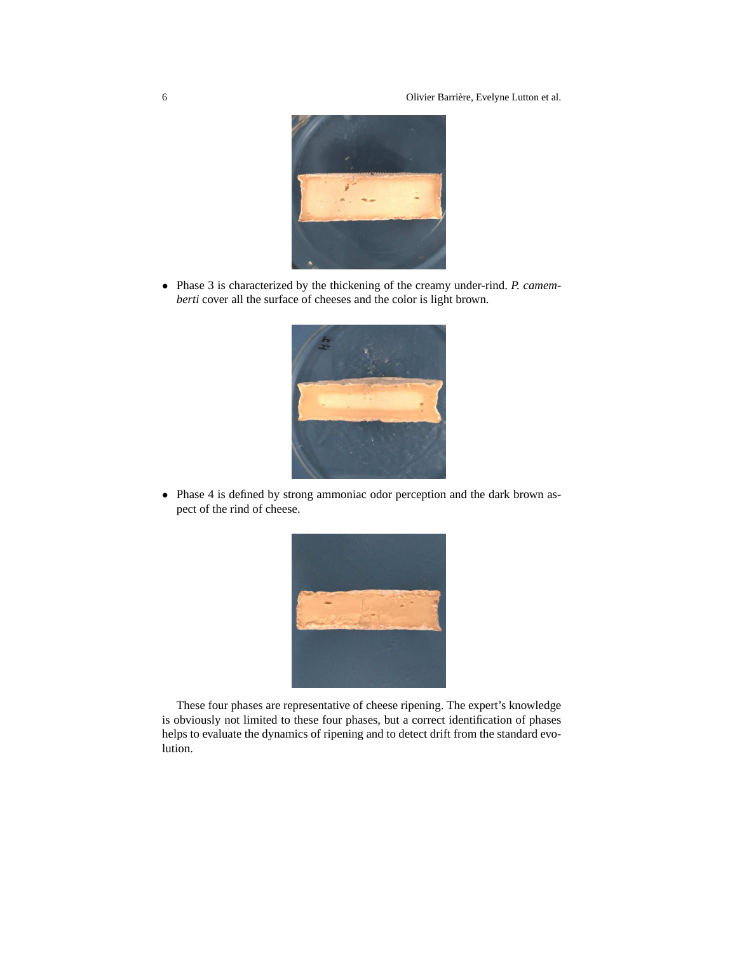6 Olivier Barriere, Evelyne Lutton et al. `



• Phase 3 is characterized by the thickening of the creamy under-rind. *P. camemberti* cover all the surface of cheeses and the color is light brown.



• Phase 4 is defined by strong ammoniac odor perception and the dark brown aspect of the rind of cheese.



These four phases are representative of cheese ripening. The expert's knowledge is obviously not limited to these four phases, but a correct identification of phases helps to evaluate the dynamics of ripening and to detect drift from the standard evolution.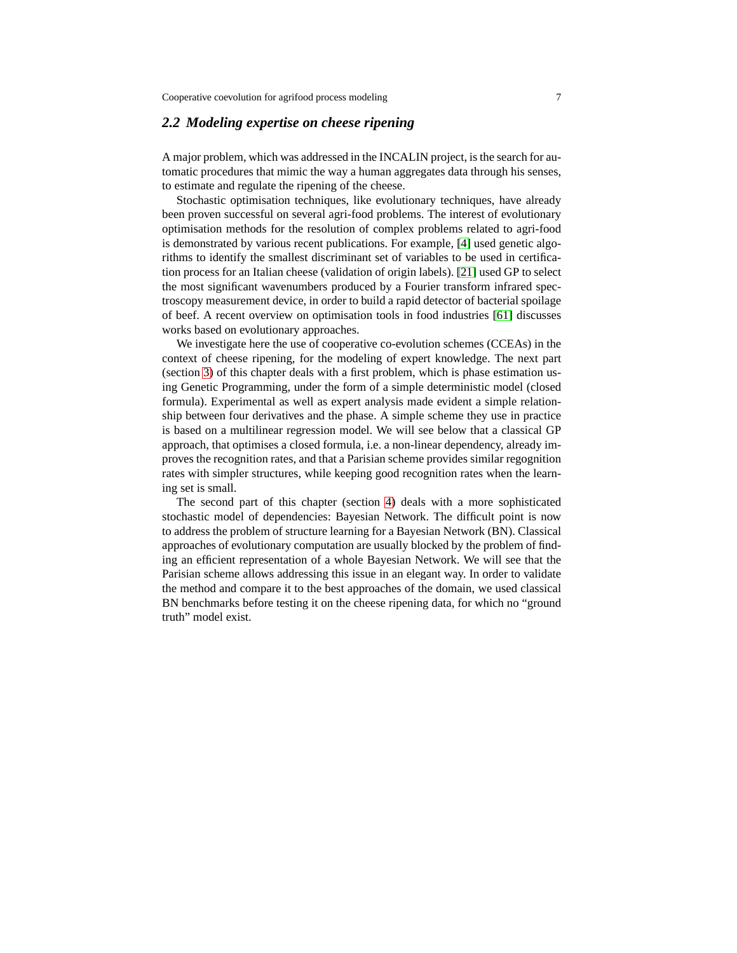# *2.2 Modeling expertise on cheese ripening*

A major problem, which was addressed in the INCALIN project, is the search for automatic procedures that mimic the way a human aggregates data through his senses, to estimate and regulate the ripening of the cheese.

Stochastic optimisation techniques, like evolutionary techniques, have already been proven successful on several agri-food problems. The interest of evolutionary optimisation methods for the resolution of complex problems related to agri-food is demonstrated by various recent publications. For example, [\[4\]](#page-38-9) used genetic algorithms to identify the smallest discriminant set of variables to be used in certification process for an Italian cheese (validation of origin labels). [\[21\]](#page-39-12) used GP to select the most significant wavenumbers produced by a Fourier transform infrared spectroscopy measurement device, in order to build a rapid detector of bacterial spoilage of beef. A recent overview on optimisation tools in food industries [\[61\]](#page-40-10) discusses works based on evolutionary approaches.

We investigate here the use of cooperative co-evolution schemes (CCEAs) in the context of cheese ripening, for the modeling of expert knowledge. The next part (section [3\)](#page-7-0) of this chapter deals with a first problem, which is phase estimation using Genetic Programming, under the form of a simple deterministic model (closed formula). Experimental as well as expert analysis made evident a simple relationship between four derivatives and the phase. A simple scheme they use in practice is based on a multilinear regression model. We will see below that a classical GP approach, that optimises a closed formula, i.e. a non-linear dependency, already improves the recognition rates, and that a Parisian scheme provides similar regognition rates with simpler structures, while keeping good recognition rates when the learning set is small.

The second part of this chapter (section [4\)](#page-17-0) deals with a more sophisticated stochastic model of dependencies: Bayesian Network. The difficult point is now to address the problem of structure learning for a Bayesian Network (BN). Classical approaches of evolutionary computation are usually blocked by the problem of finding an efficient representation of a whole Bayesian Network. We will see that the Parisian scheme allows addressing this issue in an elegant way. In order to validate the method and compare it to the best approaches of the domain, we used classical BN benchmarks before testing it on the cheese ripening data, for which no "ground truth" model exist.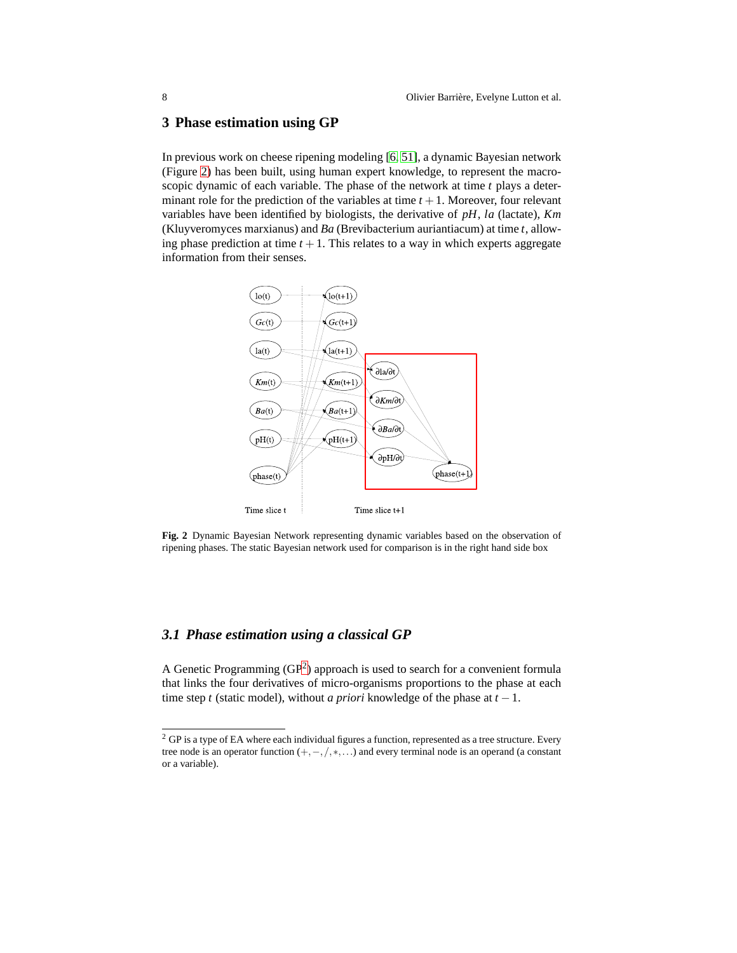# **3 Phase estimation using GP**

In previous work on cheese ripening modeling [\[6,](#page-38-4) [51\]](#page-40-11), a dynamic Bayesian network (Figure [2\)](#page-7-1) has been built, using human expert knowledge, to represent the macroscopic dynamic of each variable. The phase of the network at time *t* plays a determinant role for the prediction of the variables at time  $t + 1$ . Moreover, four relevant variables have been identified by biologists, the derivative of *pH*, *la* (lactate), *Km* (Kluyveromyces marxianus) and *Ba* (Brevibacterium auriantiacum) at time *t*, allowing phase prediction at time  $t + 1$ . This relates to a way in which experts aggregate information from their senses.



<span id="page-7-1"></span>**Fig. 2** Dynamic Bayesian Network representing dynamic variables based on the observation of ripening phases. The static Bayesian network used for comparison is in the right hand side box

# *3.1 Phase estimation using a classical GP*

A Genetic Programming  $(GP<sup>2</sup>)$  $(GP<sup>2</sup>)$  $(GP<sup>2</sup>)$  approach is used to search for a convenient formula that links the four derivatives of micro-organisms proportions to the phase at each time step *t* (static model), without *a priori* knowledge of the phase at  $t - 1$ .

<span id="page-7-0"></span>

<span id="page-7-2"></span> $2$  GP is a type of EA where each individual figures a function, represented as a tree structure. Every tree node is an operator function (+,−,/,∗,...) and every terminal node is an operand (a constant or a variable).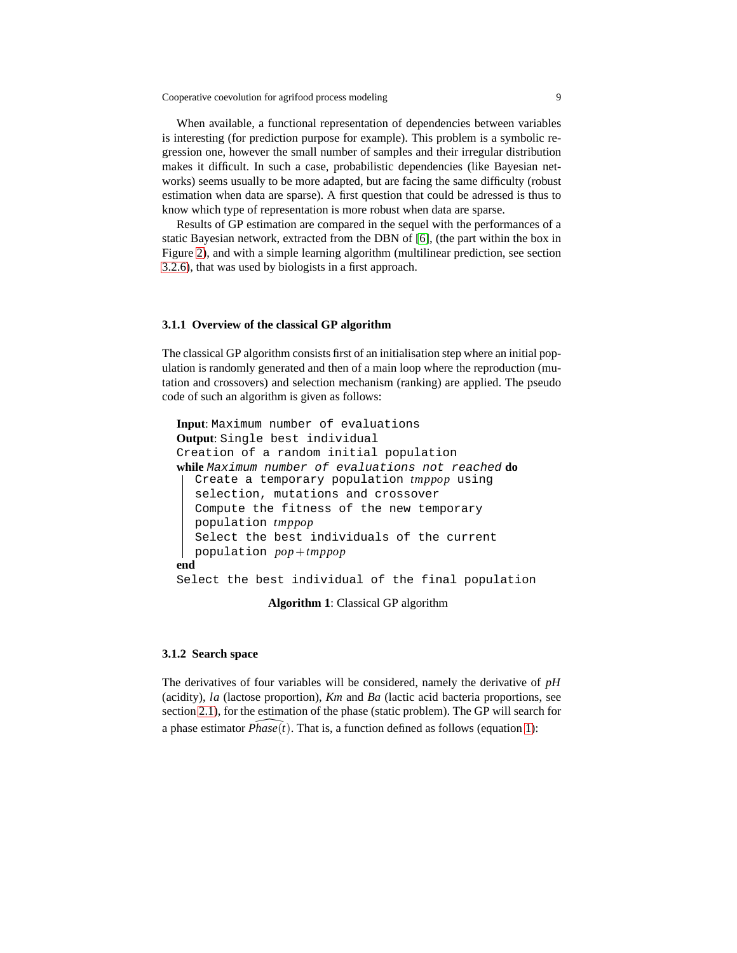Cooperative coevolution for agrifood process modeling 9

When available, a functional representation of dependencies between variables is interesting (for prediction purpose for example). This problem is a symbolic regression one, however the small number of samples and their irregular distribution makes it difficult. In such a case, probabilistic dependencies (like Bayesian networks) seems usually to be more adapted, but are facing the same difficulty (robust estimation when data are sparse). A first question that could be adressed is thus to know which type of representation is more robust when data are sparse.

Results of GP estimation are compared in the sequel with the performances of a static Bayesian network, extracted from the DBN of [\[6\]](#page-38-4), (the part within the box in Figure [2\)](#page-7-1), and with a simple learning algorithm (multilinear prediction, see section [3.2.6\)](#page-14-0), that was used by biologists in a first approach.

# **3.1.1 Overview of the classical GP algorithm**

The classical GP algorithm consists first of an initialisation step where an initial population is randomly generated and then of a main loop where the reproduction (mutation and crossovers) and selection mechanism (ranking) are applied. The pseudo code of such an algorithm is given as follows:

```
Input: Maximum number of evaluations
Output: Single best individual
Creation of a random initial population
while Maximum number of evaluations not reached do
  Create a temporary population tmppop using
  selection, mutations and crossover
  Compute the fitness of the new temporary
  population tmppop
  Select the best individuals of the current
  population pop+tmppop
end
Select the best individual of the final population
```
<span id="page-8-0"></span>**Algorithm 1**: Classical GP algorithm

### **3.1.2 Search space**

The derivatives of four variables will be considered, namely the derivative of *pH* (acidity), *la* (lactose proportion), *Km* and *Ba* (lactic acid bacteria proportions, see section [2.1\)](#page-3-2), for the estimation of the phase (static problem). The GP will search for a phase estimator  $Phase(t)$ . That is, a function defined as follows (equation [1\)](#page-8-0):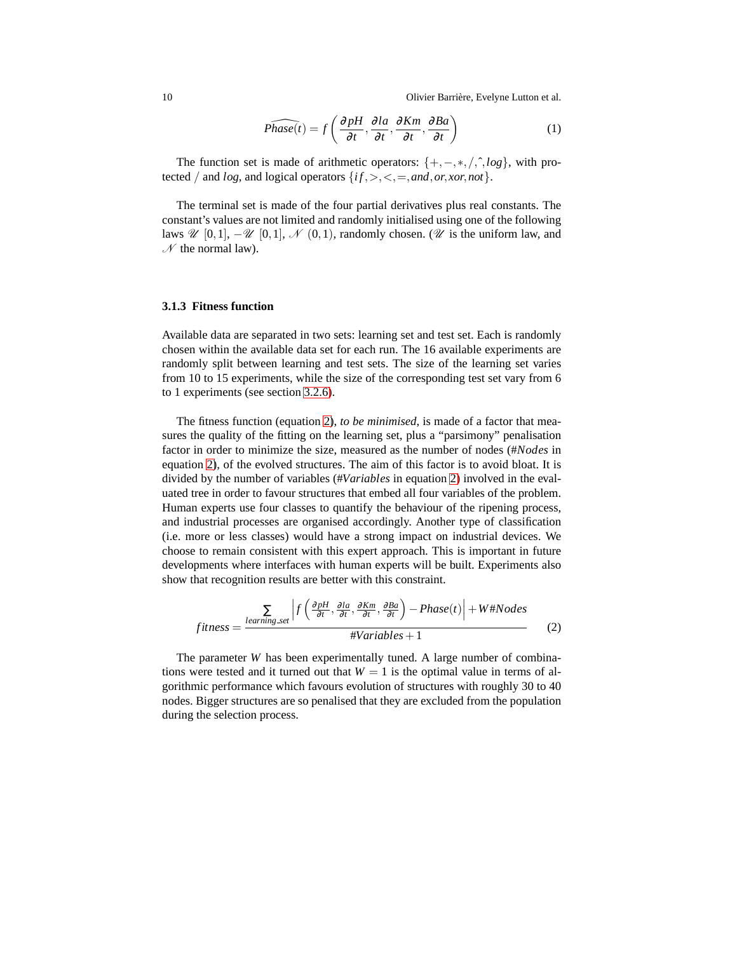10 Olivier Barrière, Evelyne Lutton et al.

$$
\widehat{Phase(t)} = f\left(\frac{\partial pH}{\partial t}, \frac{\partial Ia}{\partial t}, \frac{\partial Km}{\partial t}, \frac{\partial Ba}{\partial t}\right) \tag{1}
$$

The function set is made of arithmetic operators: {+,−,∗,/,ˆ,*log*}, with protected / and *log*, and *logical operators*  $\{if,>,<,=$ *, and, or, xor, not* $\}$ .

The terminal set is made of the four partial derivatives plus real constants. The constant's values are not limited and randomly initialised using one of the following laws  $\mathscr{U}$  [0,1],  $-\mathscr{U}$  [0,1],  $\mathscr{N}$  (0,1), randomly chosen. ( $\mathscr{U}$  is the uniform law, and  $\mathcal N$  the normal law).

### **3.1.3 Fitness function**

Available data are separated in two sets: learning set and test set. Each is randomly chosen within the available data set for each run. The 16 available experiments are randomly split between learning and test sets. The size of the learning set varies from 10 to 15 experiments, while the size of the corresponding test set vary from 6 to 1 experiments (see section [3.2.6\)](#page-14-0).

The fitness function (equation [2\)](#page-9-0), *to be minimised*, is made of a factor that measures the quality of the fitting on the learning set, plus a "parsimony" penalisation factor in order to minimize the size, measured as the number of nodes (#*Nodes* in equation [2\)](#page-9-0), of the evolved structures. The aim of this factor is to avoid bloat. It is divided by the number of variables (#*Variables* in equation [2\)](#page-9-0) involved in the evaluated tree in order to favour structures that embed all four variables of the problem. Human experts use four classes to quantify the behaviour of the ripening process, and industrial processes are organised accordingly. Another type of classification (i.e. more or less classes) would have a strong impact on industrial devices. We choose to remain consistent with this expert approach. This is important in future developments where interfaces with human experts will be built. Experiments also show that recognition results are better with this constraint.

<span id="page-9-0"></span>
$$
fitness = \frac{\sum_{learning_set} \left| f\left(\frac{\partial pH}{\partial t}, \frac{\partial L}{\partial t}, \frac{\partial Km}{\partial t}, \frac{\partial Ba}{\partial t}\right) - Phase(t) \right| + W \text{\#Nodes}}{\text{\#Variables} + 1} \tag{2}
$$

The parameter *W* has been experimentally tuned. A large number of combinations were tested and it turned out that  $W = 1$  is the optimal value in terms of algorithmic performance which favours evolution of structures with roughly 30 to 40 nodes. Bigger structures are so penalised that they are excluded from the population during the selection process.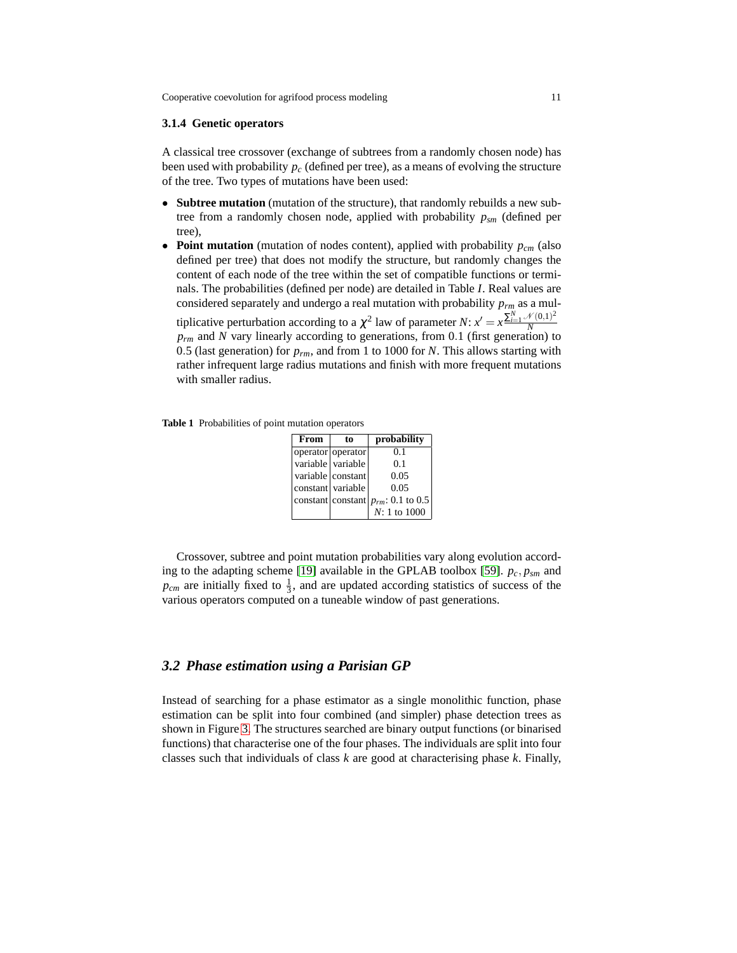#### **3.1.4 Genetic operators**

A classical tree crossover (exchange of subtrees from a randomly chosen node) has been used with probability  $p_c$  (defined per tree), as a means of evolving the structure of the tree. Two types of mutations have been used:

- **Subtree mutation** (mutation of the structure), that randomly rebuilds a new subtree from a randomly chosen node, applied with probability *psm* (defined per tree),
- **Point mutation** (mutation of nodes content), applied with probability  $p_{cm}$  (also defined per tree) that does not modify the structure, but randomly changes the content of each node of the tree within the set of compatible functions or terminals. The probabilities (defined per node) are detailed in Table *I*. Real values are considered separately and undergo a real mutation with probability *prm* as a mul-

tiplicative perturbation according to a  $\chi^2$  law of parameter *N*:  $x' = x \frac{\sum_{i=1}^{N} \mathcal{N}(0,1)^2}{N}$ *N prm* and *N* vary linearly according to generations, from 0.1 (first generation) to 0.5 (last generation) for *prm*, and from 1 to 1000 for *N*. This allows starting with rather infrequent large radius mutations and finish with more frequent mutations with smaller radius.

**Table 1** Probabilities of point mutation operators

| From              | to                | probability                              |
|-------------------|-------------------|------------------------------------------|
|                   | operator operator | 0.1                                      |
|                   | variable variable | 0.1                                      |
|                   | variable constant | 0.05                                     |
| constant variable |                   | 0.05                                     |
|                   |                   | constant constant $ p_{rm}$ : 0.1 to 0.5 |
|                   |                   | $N: 1$ to 1000                           |

Crossover, subtree and point mutation probabilities vary along evolution according to the adapting scheme [\[19\]](#page-38-10) available in the GPLAB toolbox [\[59\]](#page-40-12). *pc*, *psm* and  $p_{cm}$  are initially fixed to  $\frac{1}{3}$ , and are updated according statistics of success of the various operators computed on a tuneable window of past generations.

# *3.2 Phase estimation using a Parisian GP*

Instead of searching for a phase estimator as a single monolithic function, phase estimation can be split into four combined (and simpler) phase detection trees as shown in Figure [3.](#page-11-0) The structures searched are binary output functions (or binarised functions) that characterise one of the four phases. The individuals are split into four classes such that individuals of class *k* are good at characterising phase *k*. Finally,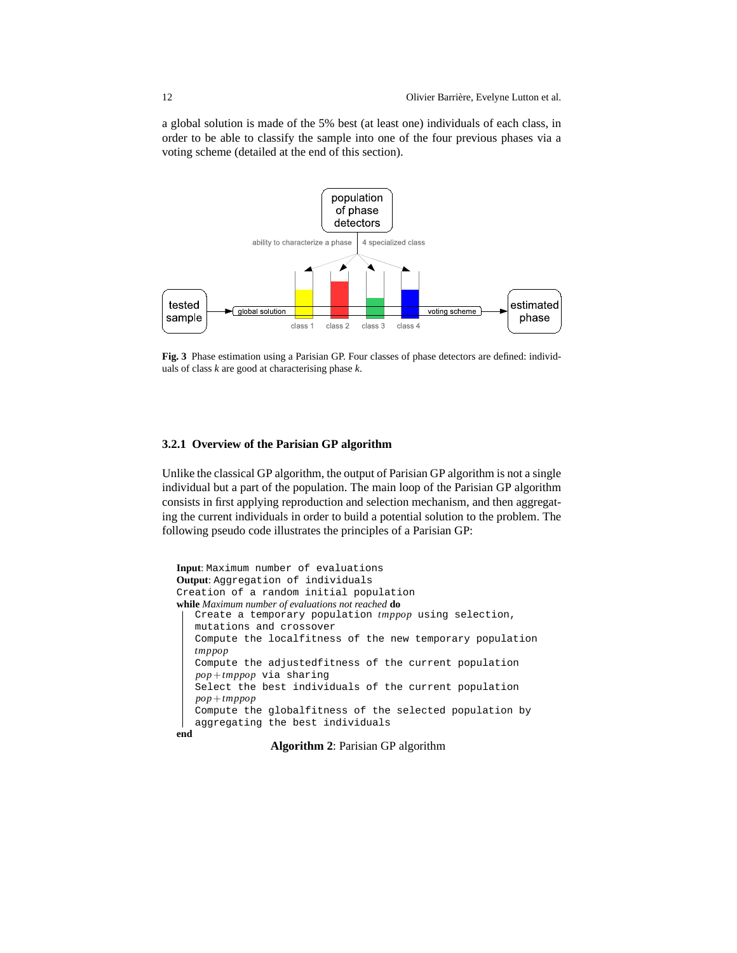a global solution is made of the 5% best (at least one) individuals of each class, in order to be able to classify the sample into one of the four previous phases via a voting scheme (detailed at the end of this section).



<span id="page-11-0"></span>**Fig. 3** Phase estimation using a Parisian GP. Four classes of phase detectors are defined: individuals of class *k* are good at characterising phase *k*.

### **3.2.1 Overview of the Parisian GP algorithm**

Unlike the classical GP algorithm, the output of Parisian GP algorithm is not a single individual but a part of the population. The main loop of the Parisian GP algorithm consists in first applying reproduction and selection mechanism, and then aggregating the current individuals in order to build a potential solution to the problem. The following pseudo code illustrates the principles of a Parisian GP:

```
Input: Maximum number of evaluations
Output: Aggregation of individuals
Creation of a random initial population
while Maximum number of evaluations not reached do
   Create a temporary population tmppop using selection,
   mutations and crossover
   Compute the localfitness of the new temporary population
   tmppop
   Compute the adjustedfitness of the current population
   pop+tmppop via sharing
   Select the best individuals of the current population
   pop+tmppop
   Compute the globalfitness of the selected population by
   aggregating the best individuals
end
```
**Algorithm 2**: Parisian GP algorithm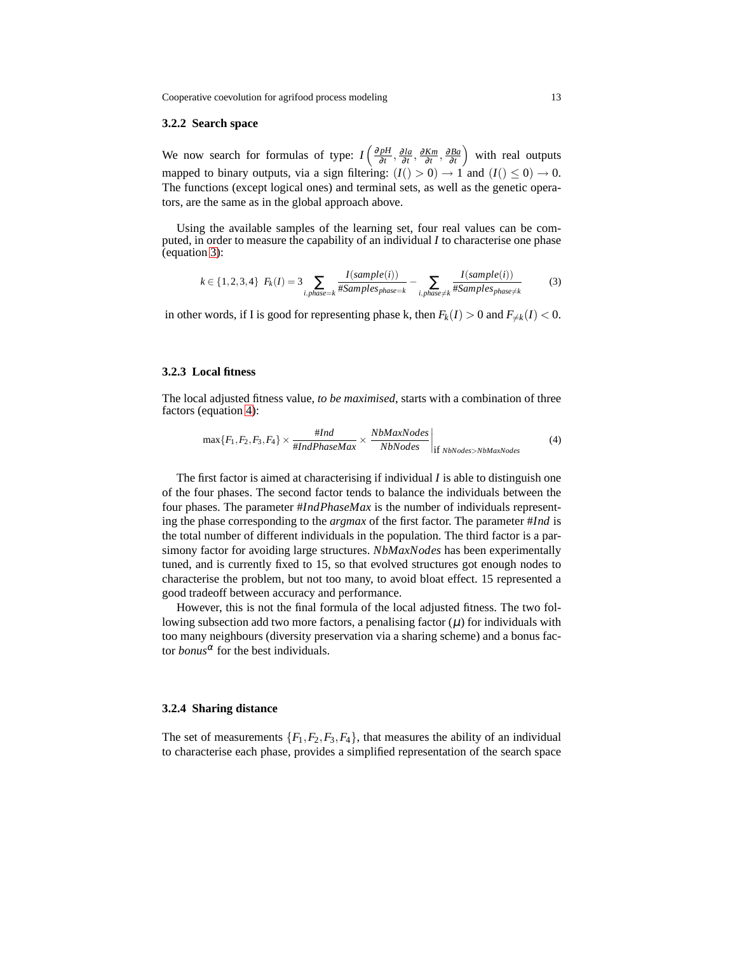#### **3.2.2 Search space**

We now search for formulas of type:  $I\left(\frac{\partial pH}{\partial t}\right)$  $\left(\frac{\partial H}{\partial t}, \frac{\partial L}{\partial t}, \frac{\partial K}{\partial t}, \frac{\partial B}{\partial t}\right)$  with real outputs mapped to binary outputs, via a sign filtering:  $(I() > 0) \rightarrow 1$  and  $(I() \le 0) \rightarrow 0$ . The functions (except logical ones) and terminal sets, as well as the genetic operators, are the same as in the global approach above.

<span id="page-12-0"></span>Using the available samples of the learning set, four real values can be computed, in order to measure the capability of an individual *I* to characterise one phase (equation [3\)](#page-12-0):

$$
k \in \{1, 2, 3, 4\} \ F_k(I) = 3 \sum_{i, \text{phase} = k} \frac{I(sample(i))}{\#Samples_{phase=k}} - \sum_{i, \text{phase} \neq k} \frac{I(sample(i))}{\#Samples_{phase \neq k}} \tag{3}
$$

in other words, if I is good for representing phase k, then  $F_k(I) > 0$  and  $F_{\neq k}(I) < 0$ .

### **3.2.3 Local fitness**

<span id="page-12-1"></span>The local adjusted fitness value, *to be maximised*, starts with a combination of three factors (equation [4\)](#page-12-1):

$$
\max\{F_1, F_2, F_3, F_4\} \times \frac{\#Ind}{\#IndPhaseMax} \times \frac{NbMaxNodes}{NbNodes} \Big|_{if \; NbNodes > NbMaxNodes}
$$
 (4)

The first factor is aimed at characterising if individual *I* is able to distinguish one of the four phases. The second factor tends to balance the individuals between the four phases. The parameter #*IndPhaseMax* is the number of individuals representing the phase corresponding to the *argmax* of the first factor. The parameter #*Ind* is the total number of different individuals in the population. The third factor is a parsimony factor for avoiding large structures. *NbMaxNodes* has been experimentally tuned, and is currently fixed to 15, so that evolved structures got enough nodes to characterise the problem, but not too many, to avoid bloat effect. 15 represented a good tradeoff between accuracy and performance.

However, this is not the final formula of the local adjusted fitness. The two following subsection add two more factors, a penalising factor  $(\mu)$  for individuals with too many neighbours (diversity preservation via a sharing scheme) and a bonus factor *bonus*<sup>α</sup> for the best individuals.

### **3.2.4 Sharing distance**

The set of measurements  ${F_1, F_2, F_3, F_4}$ , that measures the ability of an individual to characterise each phase, provides a simplified representation of the search space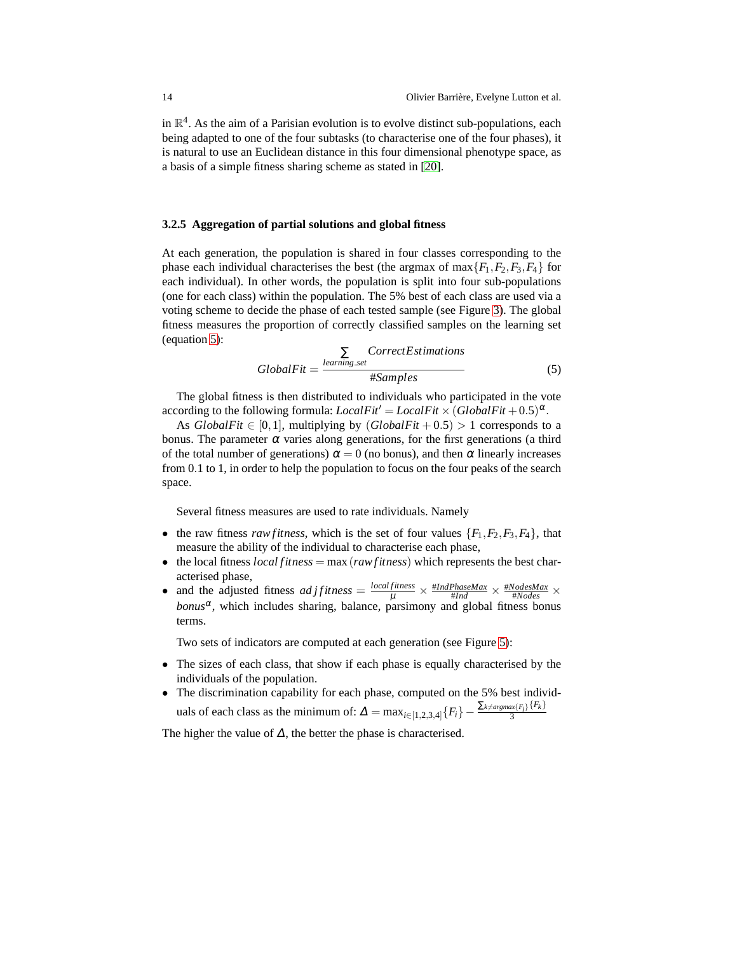in  $\mathbb{R}^4$ . As the aim of a Parisian evolution is to evolve distinct sub-populations, each being adapted to one of the four subtasks (to characterise one of the four phases), it is natural to use an Euclidean distance in this four dimensional phenotype space, as a basis of a simple fitness sharing scheme as stated in [\[20\]](#page-38-11).

## **3.2.5 Aggregation of partial solutions and global fitness**

<span id="page-13-0"></span>At each generation, the population is shared in four classes corresponding to the phase each individual characterises the best (the argmax of max ${F_1, F_2, F_3, F_4}$  for each individual). In other words, the population is split into four sub-populations (one for each class) within the population. The 5% best of each class are used via a voting scheme to decide the phase of each tested sample (see Figure [3\)](#page-11-0). The global fitness measures the proportion of correctly classified samples on the learning set (equation [5\)](#page-13-0):

$$
GlobalFit = \frac{\sum_{learning_set} CorrectEstimations}{#Samples}
$$
 (5)

The global fitness is then distributed to individuals who participated in the vote according to the following formula:  $LocalFit' = LocalFit \times (GlobalFit + 0.5)^{\alpha}$ .

As *GlobalFit*  $\in [0,1]$ , multiplying by  $(GlobalFit + 0.5) > 1$  corresponds to a bonus. The parameter  $\alpha$  varies along generations, for the first generations (a third of the total number of generations)  $\alpha = 0$  (no bonus), and then  $\alpha$  linearly increases from 0.1 to 1, in order to help the population to focus on the four peaks of the search space.

Several fitness measures are used to rate individuals. Namely

- the raw fitness *raw fitness*, which is the set of four values  $\{F_1, F_2, F_3, F_4\}$ , that measure the ability of the individual to characterise each phase,
- the local fitness  $local fitness = max(raw fitness)$  which represents the best characterised phase,
- and the adjusted fitness  $adjfitness = \frac{localfitness}{\mu} \times \frac{\#IndPhaseMax}{\#Ind} \times \frac{\#NodesMax}{\#Nodes} \times$ *bonus*<sup>α</sup> , which includes sharing, balance, parsimony and global fitness bonus terms.

Two sets of indicators are computed at each generation (see Figure [5\)](#page-16-0):

- The sizes of each class, that show if each phase is equally characterised by the individuals of the population.
- The discrimination capability for each phase, computed on the 5% best individuals of each class as the minimum of:  $\Delta = \max_{i \in [1,2,3,4]} \{F_i\} - \frac{\sum_{k \neq argmax\{F_i\}} \{F_k\}}{3}$ 3

The higher the value of  $\Delta$ , the better the phase is characterised.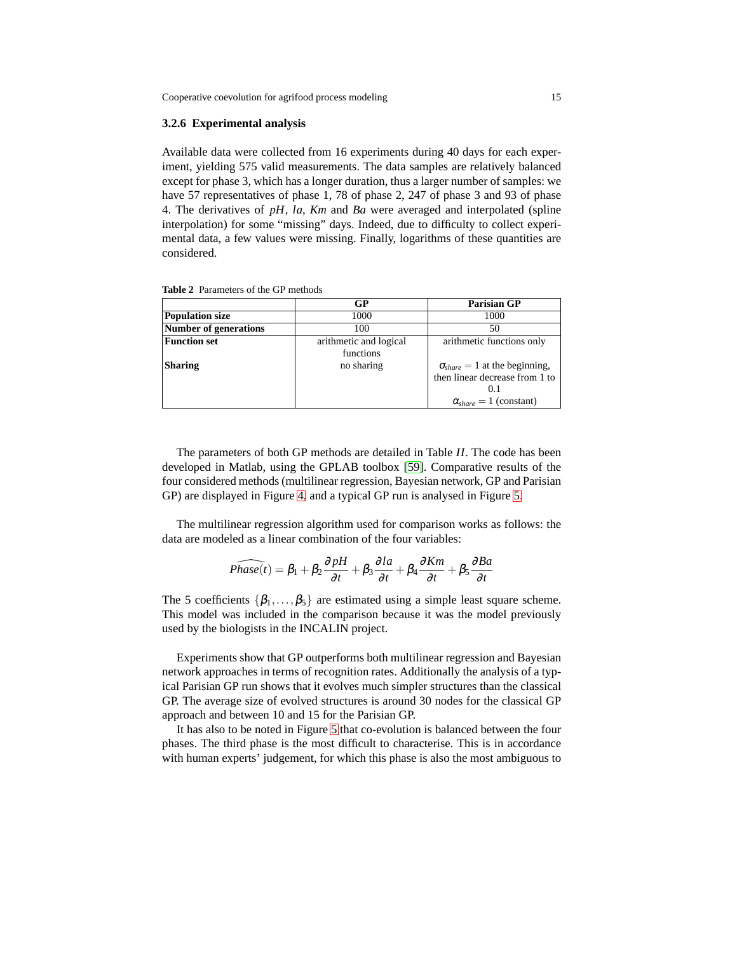#### <span id="page-14-0"></span>**3.2.6 Experimental analysis**

Available data were collected from 16 experiments during 40 days for each experiment, yielding 575 valid measurements. The data samples are relatively balanced except for phase 3, which has a longer duration, thus a larger number of samples: we have 57 representatives of phase 1, 78 of phase 2, 247 of phase 3 and 93 of phase 4. The derivatives of *pH*, *la*, *Km* and *Ba* were averaged and interpolated (spline interpolation) for some "missing" days. Indeed, due to difficulty to collect experimental data, a few values were missing. Finally, logarithms of these quantities are considered.

| <b>Table 2</b> Parameters of the GP methods |  |
|---------------------------------------------|--|
|---------------------------------------------|--|

|                        | GP                                  | <b>Parisian GP</b>                                                                                                   |
|------------------------|-------------------------------------|----------------------------------------------------------------------------------------------------------------------|
| <b>Population size</b> | 1000                                | 1000                                                                                                                 |
| Number of generations  | 100                                 | 50                                                                                                                   |
| <b>Function set</b>    | arithmetic and logical<br>functions | arithmetic functions only                                                                                            |
| <b>Sharing</b>         | no sharing                          | $\sigma_{share} = 1$ at the beginning,<br>then linear decrease from 1 to<br>(0.1)<br>$\alpha_{share} = 1$ (constant) |

The parameters of both GP methods are detailed in Table *II*. The code has been developed in Matlab, using the GPLAB toolbox [\[59\]](#page-40-12). Comparative results of the four considered methods (multilinear regression, Bayesian network, GP and Parisian GP) are displayed in Figure [4,](#page-15-0) and a typical GP run is analysed in Figure [5.](#page-16-0)

The multilinear regression algorithm used for comparison works as follows: the data are modeled as a linear combination of the four variables:

$$
\widehat{Phase(t)} = \beta_1 + \beta_2 \frac{\partial pH}{\partial t} + \beta_3 \frac{\partial la}{\partial t} + \beta_4 \frac{\partial Km}{\partial t} + \beta_5 \frac{\partial Ba}{\partial t}
$$

The 5 coefficients  $\{\beta_1,\ldots,\beta_5\}$  are estimated using a simple least square scheme. This model was included in the comparison because it was the model previously used by the biologists in the INCALIN project.

Experiments show that GP outperforms both multilinear regression and Bayesian network approaches in terms of recognition rates. Additionally the analysis of a typical Parisian GP run shows that it evolves much simpler structures than the classical GP. The average size of evolved structures is around 30 nodes for the classical GP approach and between 10 and 15 for the Parisian GP.

It has also to be noted in Figure [5](#page-16-0) that co-evolution is balanced between the four phases. The third phase is the most difficult to characterise. This is in accordance with human experts' judgement, for which this phase is also the most ambiguous to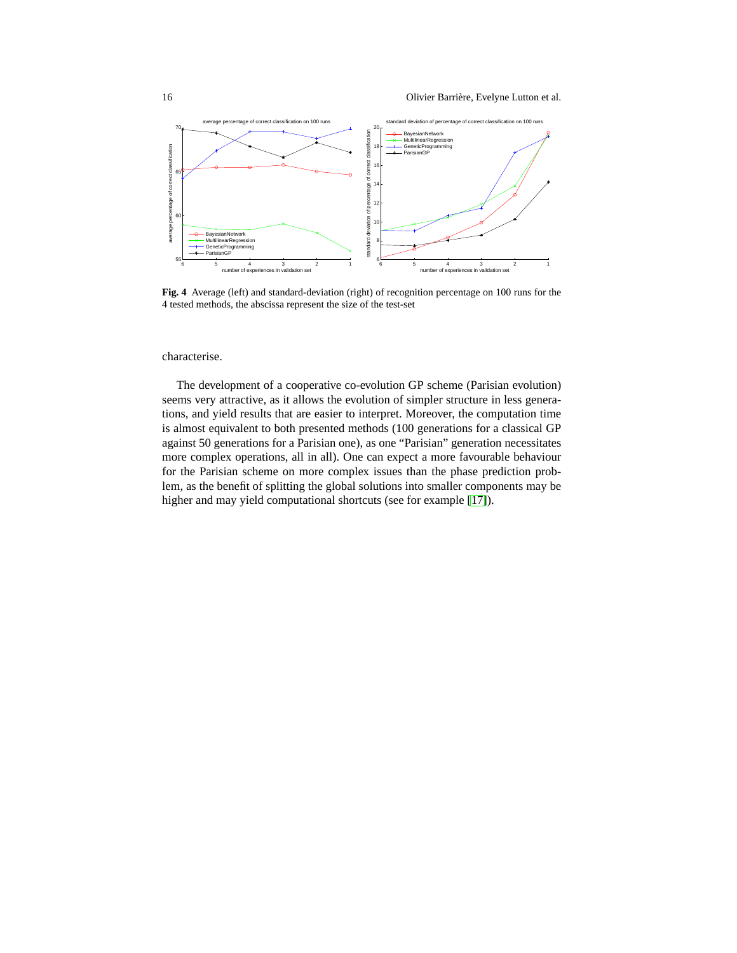

<span id="page-15-0"></span>**Fig. 4** Average (left) and standard-deviation (right) of recognition percentage on 100 runs for the 4 tested methods, the abscissa represent the size of the test-set

# characterise.

The development of a cooperative co-evolution GP scheme (Parisian evolution) seems very attractive, as it allows the evolution of simpler structure in less generations, and yield results that are easier to interpret. Moreover, the computation time is almost equivalent to both presented methods (100 generations for a classical GP against 50 generations for a Parisian one), as one "Parisian" generation necessitates more complex operations, all in all). One can expect a more favourable behaviour for the Parisian scheme on more complex issues than the phase prediction problem, as the benefit of splitting the global solutions into smaller components may be higher and may yield computational shortcuts (see for example [\[17\]](#page-38-2)).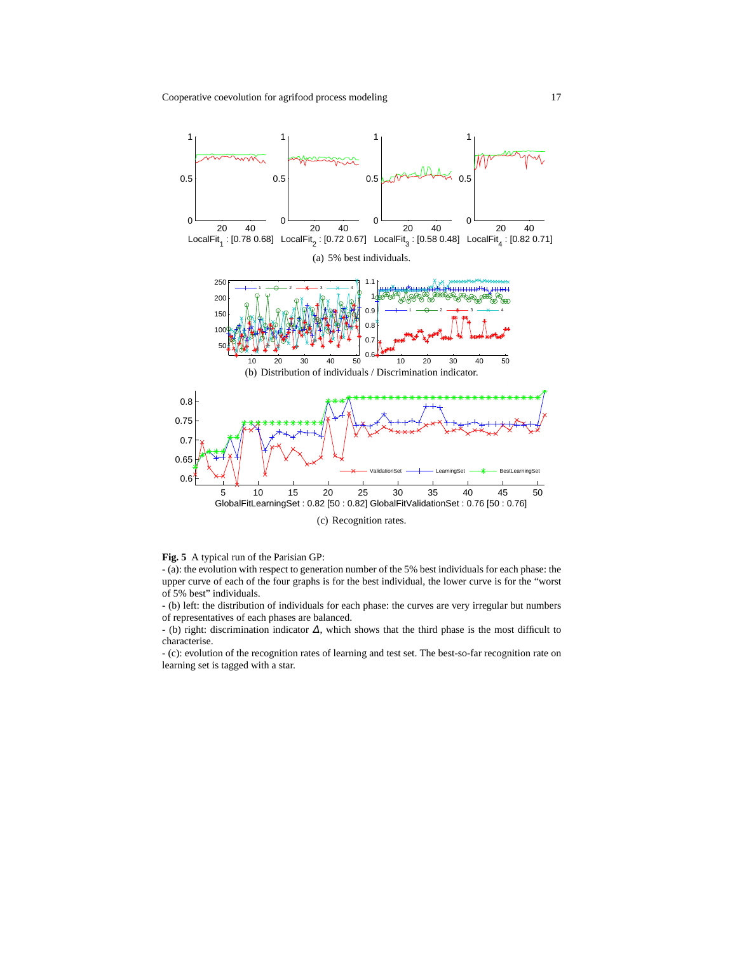

<span id="page-16-0"></span>**Fig. 5** A typical run of the Parisian GP:

- (a): the evolution with respect to generation number of the 5% best individuals for each phase: the upper curve of each of the four graphs is for the best individual, the lower curve is for the "worst of 5% best" individuals.

- (b) left: the distribution of individuals for each phase: the curves are very irregular but numbers of representatives of each phases are balanced.

- (b) right: discrimination indicator <sup>∆</sup>, which shows that the third phase is the most difficult to characterise.

- (c): evolution of the recognition rates of learning and test set. The best-so-far recognition rate on learning set is tagged with a star.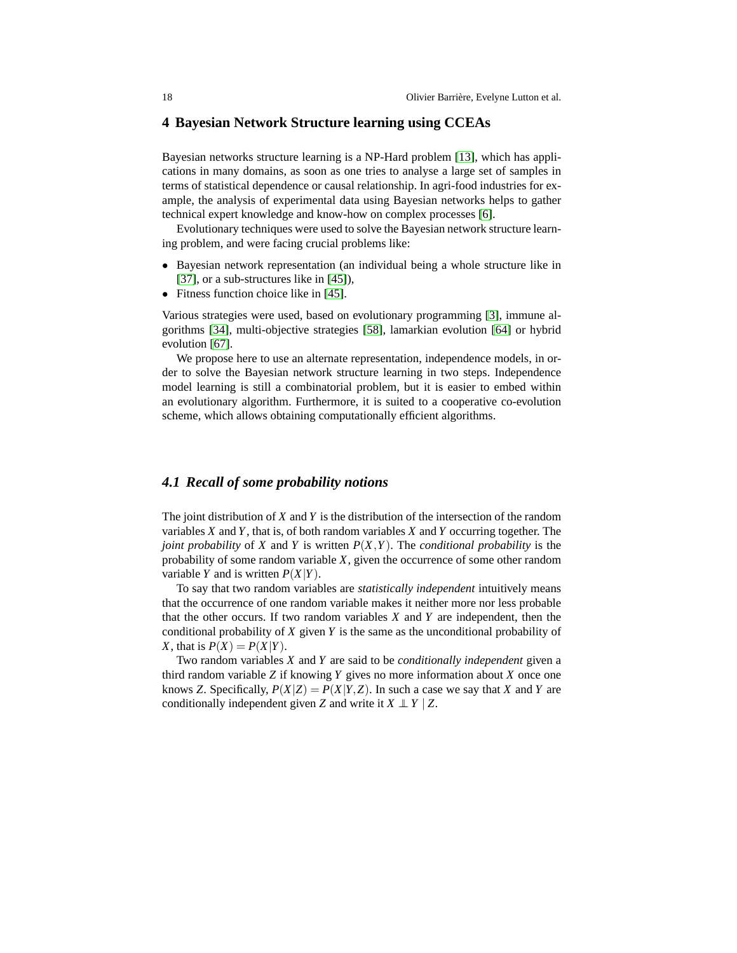# <span id="page-17-0"></span>**4 Bayesian Network Structure learning using CCEAs**

Bayesian networks structure learning is a NP-Hard problem [\[13\]](#page-38-12), which has applications in many domains, as soon as one tries to analyse a large set of samples in terms of statistical dependence or causal relationship. In agri-food industries for example, the analysis of experimental data using Bayesian networks helps to gather technical expert knowledge and know-how on complex processes [\[6\]](#page-38-4).

Evolutionary techniques were used to solve the Bayesian network structure learning problem, and were facing crucial problems like:

- Bayesian network representation (an individual being a whole structure like in [\[37\]](#page-39-13), or a sub-structures like in [\[45\]](#page-40-13)),
- Fitness function choice like in [\[45\]](#page-40-13).

Various strategies were used, based on evolutionary programming [\[3\]](#page-38-13), immune algorithms [\[34\]](#page-39-14), multi-objective strategies [\[58\]](#page-40-14), lamarkian evolution [\[64\]](#page-41-3) or hybrid evolution [\[67\]](#page-41-4).

We propose here to use an alternate representation, independence models, in order to solve the Bayesian network structure learning in two steps. Independence model learning is still a combinatorial problem, but it is easier to embed within an evolutionary algorithm. Furthermore, it is suited to a cooperative co-evolution scheme, which allows obtaining computationally efficient algorithms.

# *4.1 Recall of some probability notions*

The joint distribution of *X* and *Y* is the distribution of the intersection of the random variables *X* and *Y*, that is, of both random variables *X* and *Y* occurring together. The *joint probability* of *X* and *Y* is written  $P(X, Y)$ . The *conditional probability* is the probability of some random variable *X*, given the occurrence of some other random variable *Y* and is written  $P(X|Y)$ .

To say that two random variables are *statistically independent* intuitively means that the occurrence of one random variable makes it neither more nor less probable that the other occurs. If two random variables *X* and *Y* are independent, then the conditional probability of *X* given *Y* is the same as the unconditional probability of *X*, that is  $P(X) = P(X|Y)$ .

Two random variables *X* and *Y* are said to be *conditionally independent* given a third random variable *Z* if knowing *Y* gives no more information about *X* once one knows *Z*. Specifically,  $P(X|Z) = P(X|Y,Z)$ . In such a case we say that *X* and *Y* are conditionally independent given *Z* and write it  $X \perp Y \mid Z$ .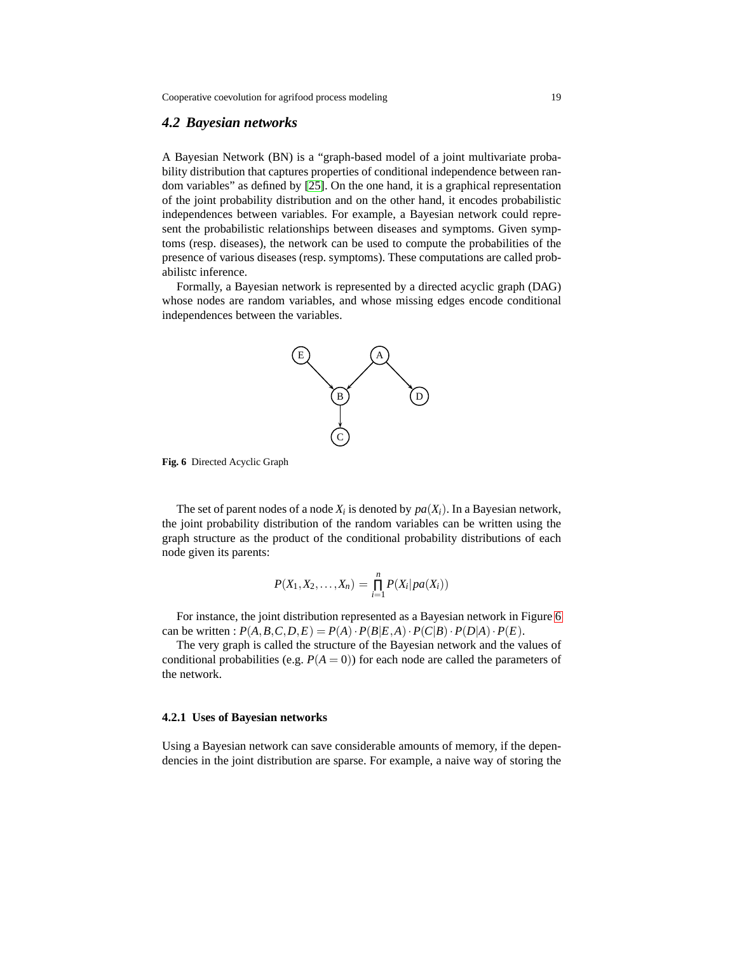### *4.2 Bayesian networks*

A Bayesian Network (BN) is a "graph-based model of a joint multivariate probability distribution that captures properties of conditional independence between random variables" as defined by [\[25\]](#page-39-15). On the one hand, it is a graphical representation of the joint probability distribution and on the other hand, it encodes probabilistic independences between variables. For example, a Bayesian network could represent the probabilistic relationships between diseases and symptoms. Given symptoms (resp. diseases), the network can be used to compute the probabilities of the presence of various diseases (resp. symptoms). These computations are called probabilistc inference.

Formally, a Bayesian network is represented by a directed acyclic graph (DAG) whose nodes are random variables, and whose missing edges encode conditional independences between the variables.



<span id="page-18-0"></span>**Fig. 6** Directed Acyclic Graph

The set of parent nodes of a node  $X_i$  is denoted by  $pa(X_i)$ . In a Bayesian network, the joint probability distribution of the random variables can be written using the graph structure as the product of the conditional probability distributions of each node given its parents:

$$
P(X_1,X_2,\ldots,X_n)=\prod_{i=1}^n P(X_i|pa(X_i))
$$

For instance, the joint distribution represented as a Bayesian network in Figure [6](#page-18-0) can be written :  $P(A, B, C, D, E) = P(A) \cdot P(B|E, A) \cdot P(C|B) \cdot P(D|A) \cdot P(E)$ .

The very graph is called the structure of the Bayesian network and the values of conditional probabilities (e.g.  $P(A = 0)$ ) for each node are called the parameters of the network.

### **4.2.1 Uses of Bayesian networks**

Using a Bayesian network can save considerable amounts of memory, if the dependencies in the joint distribution are sparse. For example, a naive way of storing the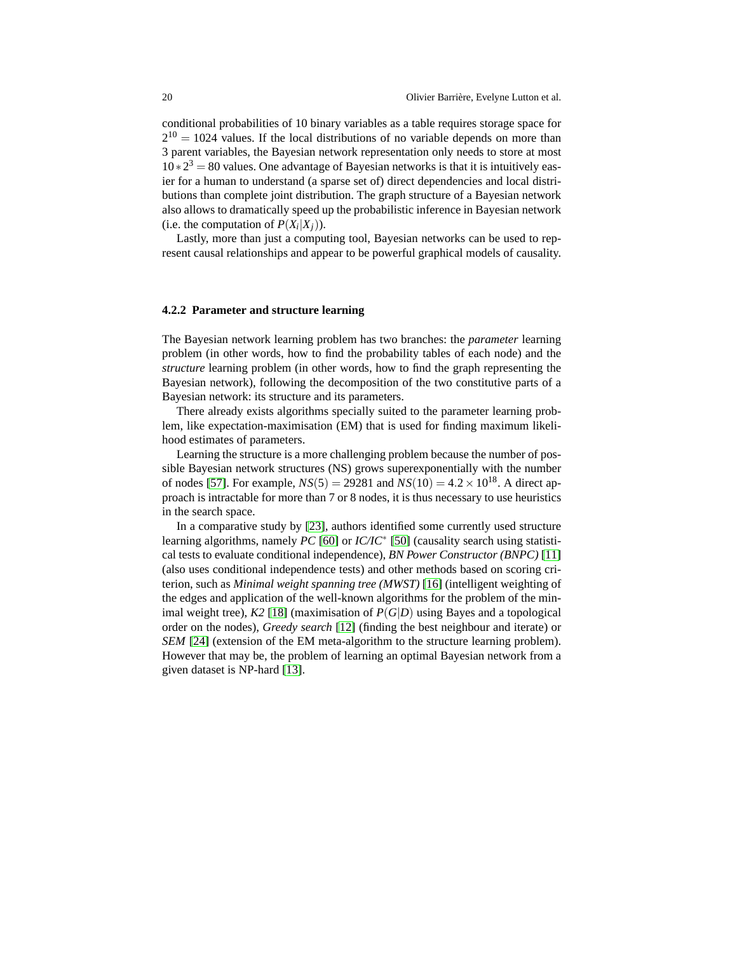conditional probabilities of 10 binary variables as a table requires storage space for  $2^{10} = 1024$  values. If the local distributions of no variable depends on more than 3 parent variables, the Bayesian network representation only needs to store at most  $10 \times 2^3 = 80$  values. One advantage of Bayesian networks is that it is intuitively easier for a human to understand (a sparse set of) direct dependencies and local distributions than complete joint distribution. The graph structure of a Bayesian network also allows to dramatically speed up the probabilistic inference in Bayesian network (i.e. the computation of  $P(X_i|X_j)$ ).

Lastly, more than just a computing tool, Bayesian networks can be used to represent causal relationships and appear to be powerful graphical models of causality.

### **4.2.2 Parameter and structure learning**

The Bayesian network learning problem has two branches: the *parameter* learning problem (in other words, how to find the probability tables of each node) and the *structure* learning problem (in other words, how to find the graph representing the Bayesian network), following the decomposition of the two constitutive parts of a Bayesian network: its structure and its parameters.

There already exists algorithms specially suited to the parameter learning problem, like expectation-maximisation (EM) that is used for finding maximum likelihood estimates of parameters.

Learning the structure is a more challenging problem because the number of possible Bayesian network structures (NS) grows superexponentially with the number of nodes [\[57\]](#page-40-15). For example,  $NS(5) = 29281$  and  $NS(10) = 4.2 \times 10^{18}$ . A direct approach is intractable for more than 7 or 8 nodes, it is thus necessary to use heuristics in the search space.

In a comparative study by [\[23\]](#page-39-16), authors identified some currently used structure learning algorithms, namely *PC* [\[60\]](#page-40-16) or *IC/IC*<sup>∗</sup> [\[50\]](#page-40-17) (causality search using statistical tests to evaluate conditional independence), *BN Power Constructor (BNPC)* [\[11\]](#page-38-14) (also uses conditional independence tests) and other methods based on scoring criterion, such as *Minimal weight spanning tree (MWST)* [\[16\]](#page-38-15) (intelligent weighting of the edges and application of the well-known algorithms for the problem of the minimal weight tree), *K2* [\[18\]](#page-38-16) (maximisation of *P*(*G*|*D*) using Bayes and a topological order on the nodes), *Greedy search* [\[12\]](#page-38-17) (finding the best neighbour and iterate) or *SEM* [\[24\]](#page-39-17) (extension of the EM meta-algorithm to the structure learning problem). However that may be, the problem of learning an optimal Bayesian network from a given dataset is NP-hard [\[13\]](#page-38-12).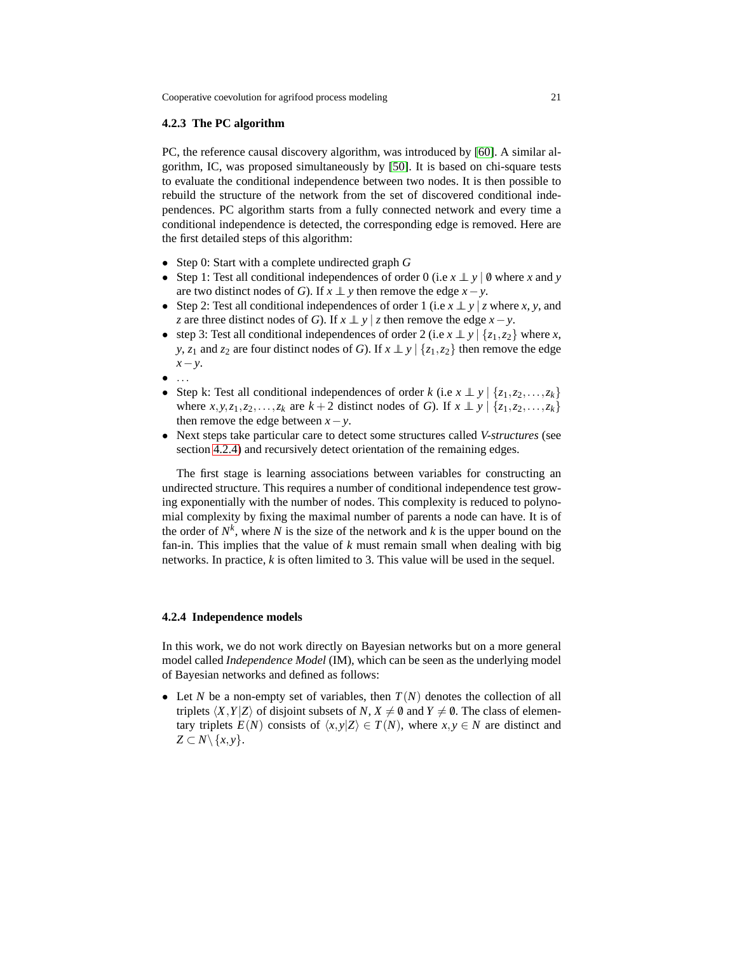#### **4.2.3 The PC algorithm**

PC, the reference causal discovery algorithm, was introduced by [\[60\]](#page-40-16). A similar algorithm, IC, was proposed simultaneously by [\[50\]](#page-40-17). It is based on chi-square tests to evaluate the conditional independence between two nodes. It is then possible to rebuild the structure of the network from the set of discovered conditional independences. PC algorithm starts from a fully connected network and every time a conditional independence is detected, the corresponding edge is removed. Here are the first detailed steps of this algorithm:

- Step 0: Start with a complete undirected graph *G*
- Step 1: Test all conditional independences of order 0 (i.e  $x \perp y \mid \emptyset$  where *x* and *y* are two distinct nodes of *G*). If  $x \perp y$  then remove the edge  $x - y$ .
- Step 2: Test all conditional independences of order 1 (i.e *x* ⊥⊥ *y* | *z* where *x*, *y*, and *z* are three distinct nodes of *G*). If  $x \perp y \mid z$  then remove the edge  $x - y$ .
- step 3: Test all conditional independences of order 2 (i.e  $x \perp y \mid \{z_1, z_2\}$  where  $x$ , *y*, *z*<sub>1</sub> and *z*<sub>2</sub> are four distinct nodes of *G*). If  $x \perp y | \{z_1, z_2\}$  then remove the edge *x*−*y*.
- ...
- Step k: Test all conditional independences of order *k* (i.e  $x \perp y | \{z_1, z_2, \ldots, z_k\}$ where  $x, y, z_1, z_2, \ldots, z_k$  are  $k + 2$  distinct nodes of *G*). If  $x \perp y \mid \{z_1, z_2, \ldots, z_k\}$ then remove the edge between *x*−*y*.
- Next steps take particular care to detect some structures called *V-structures* (see section [4.2.4\)](#page-20-0) and recursively detect orientation of the remaining edges.

The first stage is learning associations between variables for constructing an undirected structure. This requires a number of conditional independence test growing exponentially with the number of nodes. This complexity is reduced to polynomial complexity by fixing the maximal number of parents a node can have. It is of the order of  $N^k$ , where N is the size of the network and  $k$  is the upper bound on the fan-in. This implies that the value of *k* must remain small when dealing with big networks. In practice, *k* is often limited to 3. This value will be used in the sequel.

# <span id="page-20-0"></span>**4.2.4 Independence models**

In this work, we do not work directly on Bayesian networks but on a more general model called *Independence Model* (IM), which can be seen as the underlying model of Bayesian networks and defined as follows:

• Let *N* be a non-empty set of variables, then  $T(N)$  denotes the collection of all triplets  $\langle X, Y|Z \rangle$  of disjoint subsets of *N*,  $X \neq \emptyset$  and  $Y \neq \emptyset$ . The class of elementary triplets  $E(N)$  consists of  $\langle x, y | Z \rangle \in T(N)$ , where  $x, y \in N$  are distinct and *Z* ⊂ *N* $\{x, y\}$ .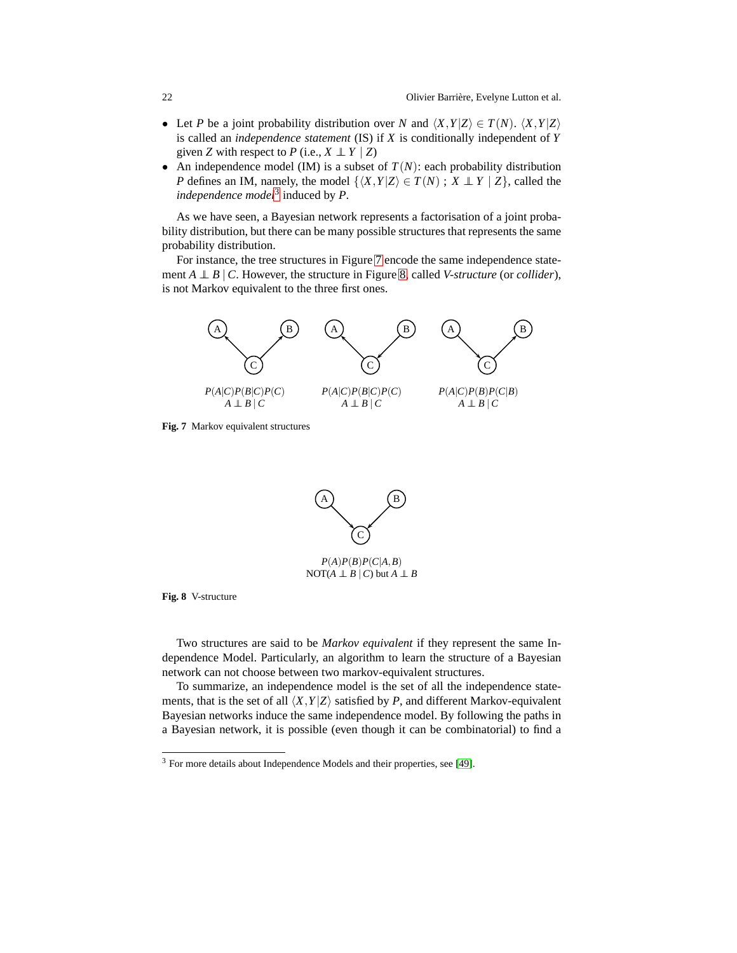- Let *P* be a joint probability distribution over *N* and  $\langle X, Y|Z \rangle \in T(N)$ .  $\langle X, Y|Z \rangle$ is called an *independence statement* (IS) if *X* is conditionally independent of *Y* given *Z* with respect to *P* (i.e.,  $X \perp Y \mid Z$ )
- An independence model (IM) is a subset of  $T(N)$ : each probability distribution *P* defines an IM, namely, the model  $\{\langle X, Y|Z \rangle \in T(N) \; ; \; X \perp Y \mid Z\}$ , called the *independence model*[3](#page-21-0) induced by *P*.

As we have seen, a Bayesian network represents a factorisation of a joint probability distribution, but there can be many possible structures that represents the same probability distribution.

For instance, the tree structures in Figure [7](#page-21-1) encode the same independence statement  $A \perp B \mid C$ . However, the structure in Figure [8,](#page-21-2) called *V-structure* (or *collider*), is not Markov equivalent to the three first ones.

<span id="page-21-1"></span>



<span id="page-21-2"></span>

Two structures are said to be *Markov equivalent* if they represent the same Independence Model. Particularly, an algorithm to learn the structure of a Bayesian network can not choose between two markov-equivalent structures.

To summarize, an independence model is the set of all the independence statements, that is the set of all  $\langle X, Y|Z \rangle$  satisfied by *P*, and different Markov-equivalent Bayesian networks induce the same independence model. By following the paths in a Bayesian network, it is possible (even though it can be combinatorial) to find a

<span id="page-21-0"></span><sup>&</sup>lt;sup>3</sup> For more details about Independence Models and their properties, see [\[49\]](#page-40-18).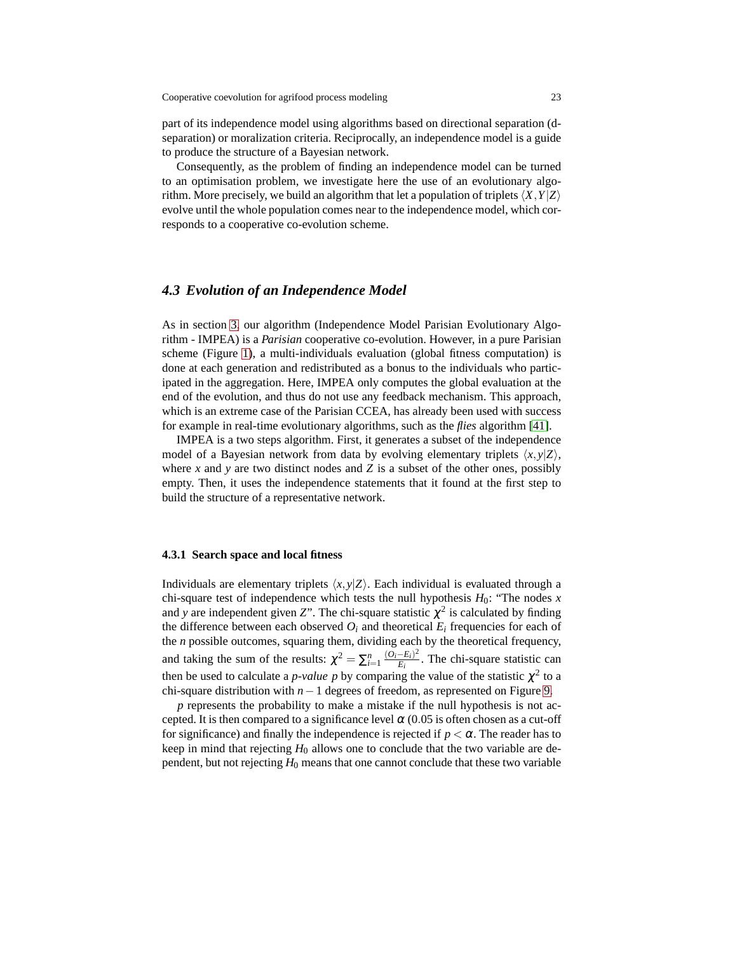part of its independence model using algorithms based on directional separation (dseparation) or moralization criteria. Reciprocally, an independence model is a guide to produce the structure of a Bayesian network.

Consequently, as the problem of finding an independence model can be turned to an optimisation problem, we investigate here the use of an evolutionary algorithm. More precisely, we build an algorithm that let a population of triplets  $\langle X, Y|Z \rangle$ evolve until the whole population comes near to the independence model, which corresponds to a cooperative co-evolution scheme.

# *4.3 Evolution of an Independence Model*

As in section [3,](#page-7-0) our algorithm (Independence Model Parisian Evolutionary Algorithm - IMPEA) is a *Parisian* cooperative co-evolution. However, in a pure Parisian scheme (Figure [1\)](#page-1-0), a multi-individuals evaluation (global fitness computation) is done at each generation and redistributed as a bonus to the individuals who participated in the aggregation. Here, IMPEA only computes the global evaluation at the end of the evolution, and thus do not use any feedback mechanism. This approach, which is an extreme case of the Parisian CCEA, has already been used with success for example in real-time evolutionary algorithms, such as the *flies* algorithm [\[41\]](#page-40-19).

IMPEA is a two steps algorithm. First, it generates a subset of the independence model of a Bayesian network from data by evolving elementary triplets  $\langle x, y | Z \rangle$ , where  $x$  and  $y$  are two distinct nodes and  $Z$  is a subset of the other ones, possibly empty. Then, it uses the independence statements that it found at the first step to build the structure of a representative network.

### **4.3.1 Search space and local fitness**

Individuals are elementary triplets  $\langle x, y|Z \rangle$ . Each individual is evaluated through a chi-square test of independence which tests the null hypothesis  $H_0$ : "The nodes  $x$ and *y* are independent given *Z*". The chi-square statistic  $\chi^2$  is calculated by finding the difference between each observed  $O_i$  and theoretical  $E_i$  frequencies for each of the *n* possible outcomes, squaring them, dividing each by the theoretical frequency, and taking the sum of the results:  $\chi^2 = \sum_{i=1}^n \frac{(O_i - E_i)^2}{E_i}$  $\frac{-E_i}{E_i}$ . The chi-square statistic can then be used to calculate a *p*-value p by comparing the value of the statistic  $\chi^2$  to a chi-square distribution with *n*−1 degrees of freedom, as represented on Figure [9.](#page-23-0)

*p* represents the probability to make a mistake if the null hypothesis is not accepted. It is then compared to a significance level  $\alpha$  (0.05 is often chosen as a cut-off for significance) and finally the independence is rejected if  $p < \alpha$ . The reader has to keep in mind that rejecting *H*<sup>0</sup> allows one to conclude that the two variable are dependent, but not rejecting  $H_0$  means that one cannot conclude that these two variable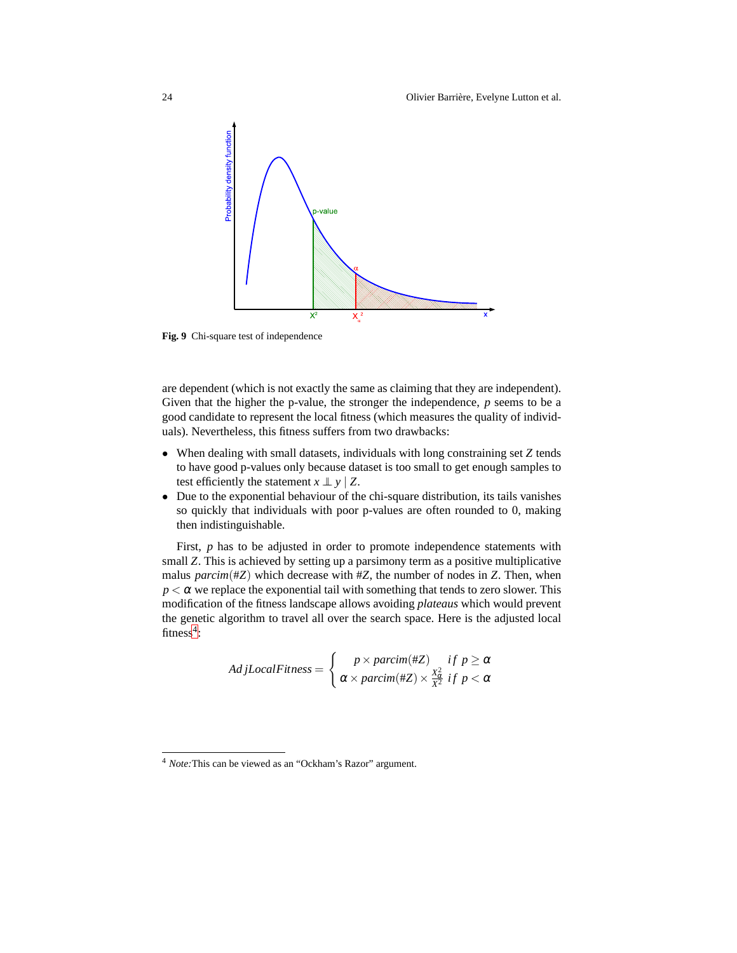

<span id="page-23-0"></span>**Fig. 9** Chi-square test of independence

are dependent (which is not exactly the same as claiming that they are independent). Given that the higher the p-value, the stronger the independence, *p* seems to be a good candidate to represent the local fitness (which measures the quality of individuals). Nevertheless, this fitness suffers from two drawbacks:

- When dealing with small datasets, individuals with long constraining set *Z* tends to have good p-values only because dataset is too small to get enough samples to test efficiently the statement  $x \perp y \mid Z$ .
- Due to the exponential behaviour of the chi-square distribution, its tails vanishes so quickly that individuals with poor p-values are often rounded to 0, making then indistinguishable.

First, *p* has to be adjusted in order to promote independence statements with small *Z*. This is achieved by setting up a parsimony term as a positive multiplicative malus *parcim*(#*Z*) which decrease with #*Z*, the number of nodes in *Z*. Then, when  $p < \alpha$  we replace the exponential tail with something that tends to zero slower. This modification of the fitness landscape allows avoiding *plateaus* which would prevent the genetic algorithm to travel all over the search space. Here is the adjusted local fitness<sup>[4](#page-23-1)</sup>:

$$
AdjLocalFitness = \begin{cases} p \times \text{param}(\#Z) & \text{if } p \ge \alpha \\ \alpha \times \text{param}(\#Z) \times \frac{X_{\alpha}^2}{X^2} & \text{if } p < \alpha \end{cases}
$$

<span id="page-23-1"></span><sup>4</sup> *Note:*This can be viewed as an "Ockham's Razor" argument.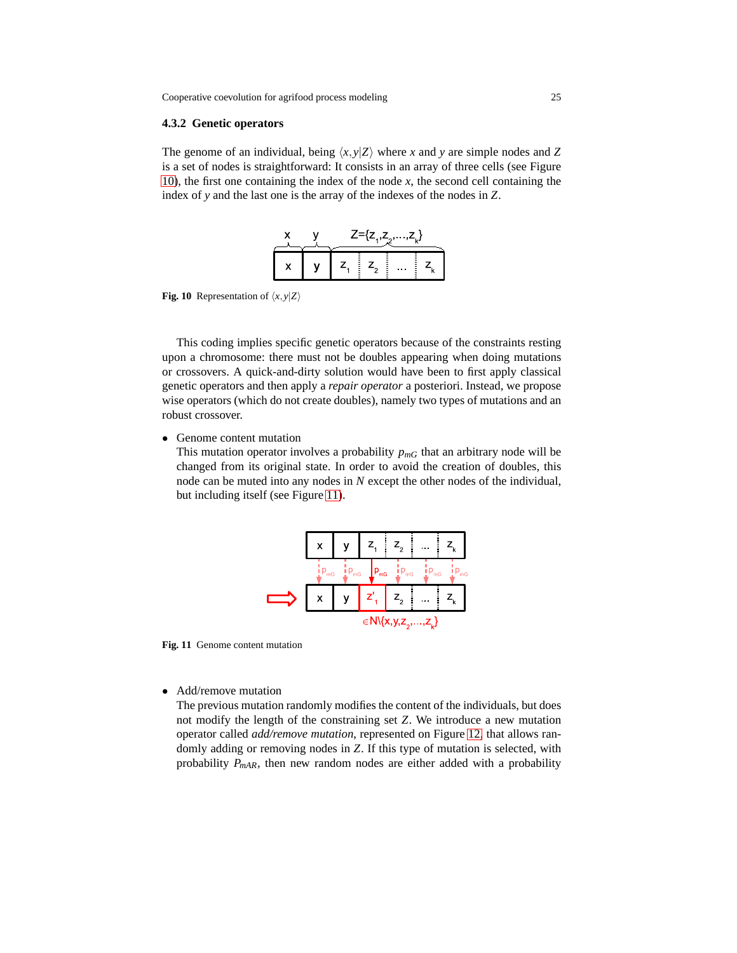#### **4.3.2 Genetic operators**

The genome of an individual, being  $\langle x, y | Z \rangle$  where *x* and *y* are simple nodes and *Z* is a set of nodes is straightforward: It consists in an array of three cells (see Figure [10\)](#page-24-0), the first one containing the index of the node *x*, the second cell containing the index of *y* and the last one is the array of the indexes of the nodes in *Z*.



<span id="page-24-0"></span>**Fig. 10** Representation of  $\langle x, y | Z \rangle$ 

This coding implies specific genetic operators because of the constraints resting upon a chromosome: there must not be doubles appearing when doing mutations or crossovers. A quick-and-dirty solution would have been to first apply classical genetic operators and then apply a *repair operator* a posteriori. Instead, we propose wise operators (which do not create doubles), namely two types of mutations and an robust crossover.

• Genome content mutation

This mutation operator involves a probability  $p_{m}$  that an arbitrary node will be changed from its original state. In order to avoid the creation of doubles, this node can be muted into any nodes in *N* except the other nodes of the individual, but including itself (see Figure [11\)](#page-24-1).

| х  |    |          | $\mathsf{z}_{_2}$                      |    | Z<br>κ  |
|----|----|----------|----------------------------------------|----|---------|
| mG | mG | $p_{mg}$ | $iP_{mg}$                              | mG | m0      |
| x  |    |          | $-2$                                   |    | $Z_{k}$ |
|    |    |          | $\in N\setminus\{x,y,z_2,\ldots,z_k\}$ |    |         |

<span id="page-24-1"></span>**Fig. 11** Genome content mutation

• Add/remove mutation

The previous mutation randomly modifies the content of the individuals, but does not modify the length of the constraining set *Z*. We introduce a new mutation operator called *add/remove mutation*, represented on Figure [12,](#page-25-0) that allows randomly adding or removing nodes in *Z*. If this type of mutation is selected, with probability *PmAR*, then new random nodes are either added with a probability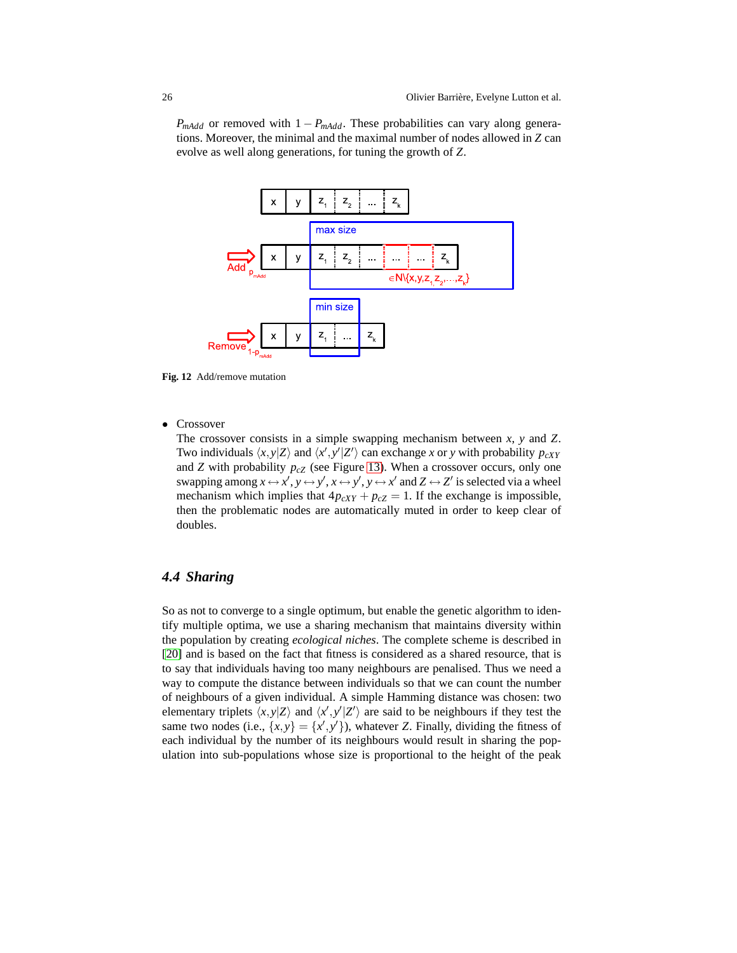$P_{mAdd}$  or removed with  $1 - P_{mAdd}$ . These probabilities can vary along generations. Moreover, the minimal and the maximal number of nodes allowed in *Z* can evolve as well along generations, for tuning the growth of *Z*.



<span id="page-25-0"></span>**Fig. 12** Add/remove mutation

• Crossover

The crossover consists in a simple swapping mechanism between *x*, *y* and *Z*. Two individuals  $\langle x, y | Z \rangle$  and  $\langle x', y' | Z' \rangle$  can exchange *x* or *y* with probability  $p_{cXY}$ and *Z* with probability  $p_{cZ}$  (see Figure [13\)](#page-26-0). When a crossover occurs, only one swapping among  $x \leftrightarrow x'$ ,  $y \leftrightarrow y'$ ,  $x \leftrightarrow y'$ ,  $y \leftrightarrow x'$  and  $Z \leftrightarrow Z'$  is selected via a wheel mechanism which implies that  $4p_{cXY} + p_{cZ} = 1$ . If the exchange is impossible, then the problematic nodes are automatically muted in order to keep clear of doubles.

# *4.4 Sharing*

So as not to converge to a single optimum, but enable the genetic algorithm to identify multiple optima, we use a sharing mechanism that maintains diversity within the population by creating *ecological niches*. The complete scheme is described in [\[20\]](#page-38-11) and is based on the fact that fitness is considered as a shared resource, that is to say that individuals having too many neighbours are penalised. Thus we need a way to compute the distance between individuals so that we can count the number of neighbours of a given individual. A simple Hamming distance was chosen: two elementary triplets  $\langle x, y | Z \rangle$  and  $\langle x', y' | Z' \rangle$  are said to be neighbours if they test the same two nodes (i.e.,  $\{x, y\} = \{x', y'\}$ ), whatever *Z*. Finally, dividing the fitness of each individual by the number of its neighbours would result in sharing the population into sub-populations whose size is proportional to the height of the peak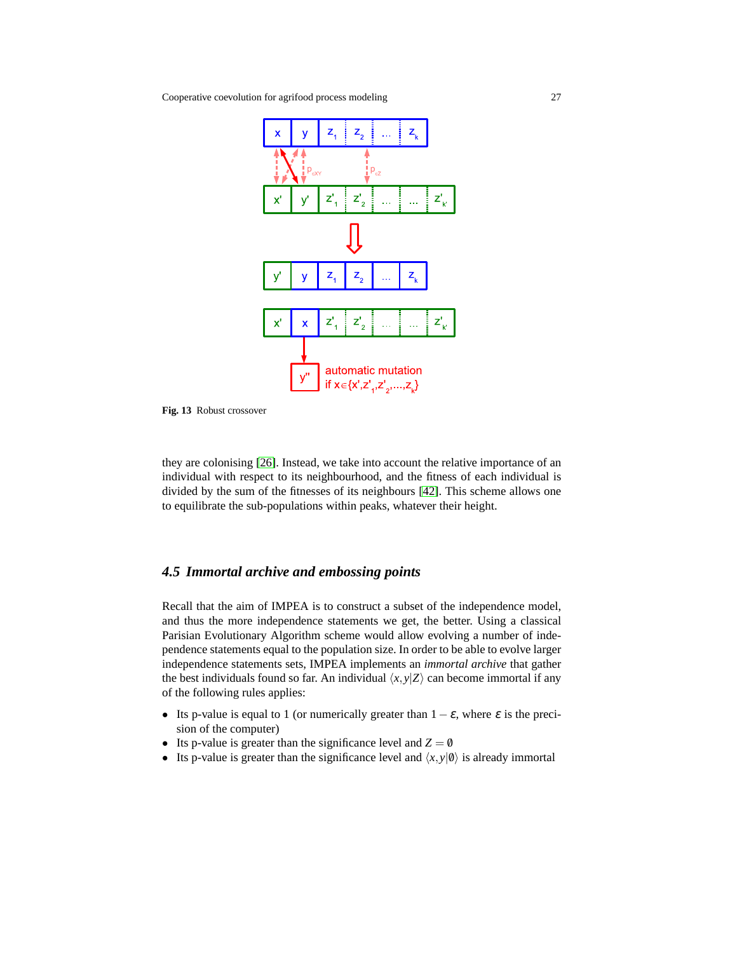Cooperative coevolution for agrifood process modeling 27



<span id="page-26-0"></span>**Fig. 13** Robust crossover

they are colonising [\[26\]](#page-39-18). Instead, we take into account the relative importance of an individual with respect to its neighbourhood, and the fitness of each individual is divided by the sum of the fitnesses of its neighbours [\[42\]](#page-40-20). This scheme allows one to equilibrate the sub-populations within peaks, whatever their height.

# *4.5 Immortal archive and embossing points*

Recall that the aim of IMPEA is to construct a subset of the independence model, and thus the more independence statements we get, the better. Using a classical Parisian Evolutionary Algorithm scheme would allow evolving a number of independence statements equal to the population size. In order to be able to evolve larger independence statements sets, IMPEA implements an *immortal archive* that gather the best individuals found so far. An individual  $\langle x, y|Z \rangle$  can become immortal if any of the following rules applies:

- Its p-value is equal to 1 (or numerically greater than  $1 \varepsilon$ , where  $\varepsilon$  is the precision of the computer)
- Its p-value is greater than the significance level and  $Z = 0$
- Its p-value is greater than the significance level and  $\langle x, y | 0 \rangle$  is already immortal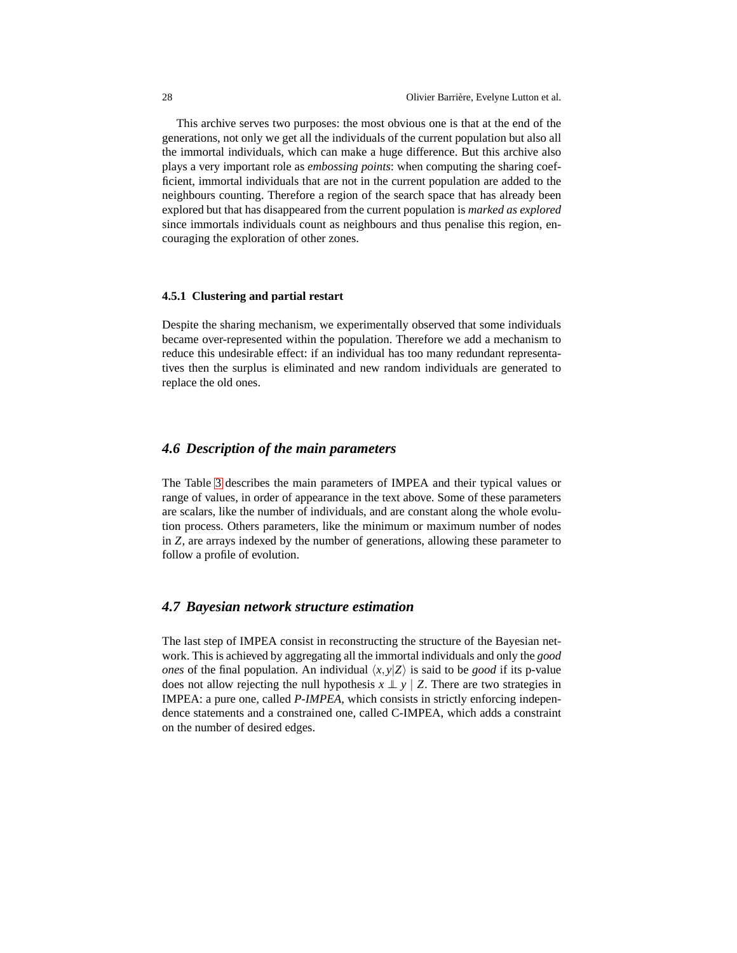This archive serves two purposes: the most obvious one is that at the end of the generations, not only we get all the individuals of the current population but also all the immortal individuals, which can make a huge difference. But this archive also plays a very important role as *embossing points*: when computing the sharing coefficient, immortal individuals that are not in the current population are added to the neighbours counting. Therefore a region of the search space that has already been explored but that has disappeared from the current population is *marked as explored* since immortals individuals count as neighbours and thus penalise this region, encouraging the exploration of other zones.

# **4.5.1 Clustering and partial restart**

Despite the sharing mechanism, we experimentally observed that some individuals became over-represented within the population. Therefore we add a mechanism to reduce this undesirable effect: if an individual has too many redundant representatives then the surplus is eliminated and new random individuals are generated to replace the old ones.

# *4.6 Description of the main parameters*

The Table [3](#page-28-0) describes the main parameters of IMPEA and their typical values or range of values, in order of appearance in the text above. Some of these parameters are scalars, like the number of individuals, and are constant along the whole evolution process. Others parameters, like the minimum or maximum number of nodes in *Z*, are arrays indexed by the number of generations, allowing these parameter to follow a profile of evolution.

# *4.7 Bayesian network structure estimation*

The last step of IMPEA consist in reconstructing the structure of the Bayesian network. This is achieved by aggregating all the immortal individuals and only the *good ones* of the final population. An individual  $\langle x, y | Z \rangle$  is said to be *good* if its p-value does not allow rejecting the null hypothesis  $x \perp y \mid Z$ . There are two strategies in IMPEA: a pure one, called *P-IMPEA*, which consists in strictly enforcing independence statements and a constrained one, called C-IMPEA, which adds a constraint on the number of desired edges.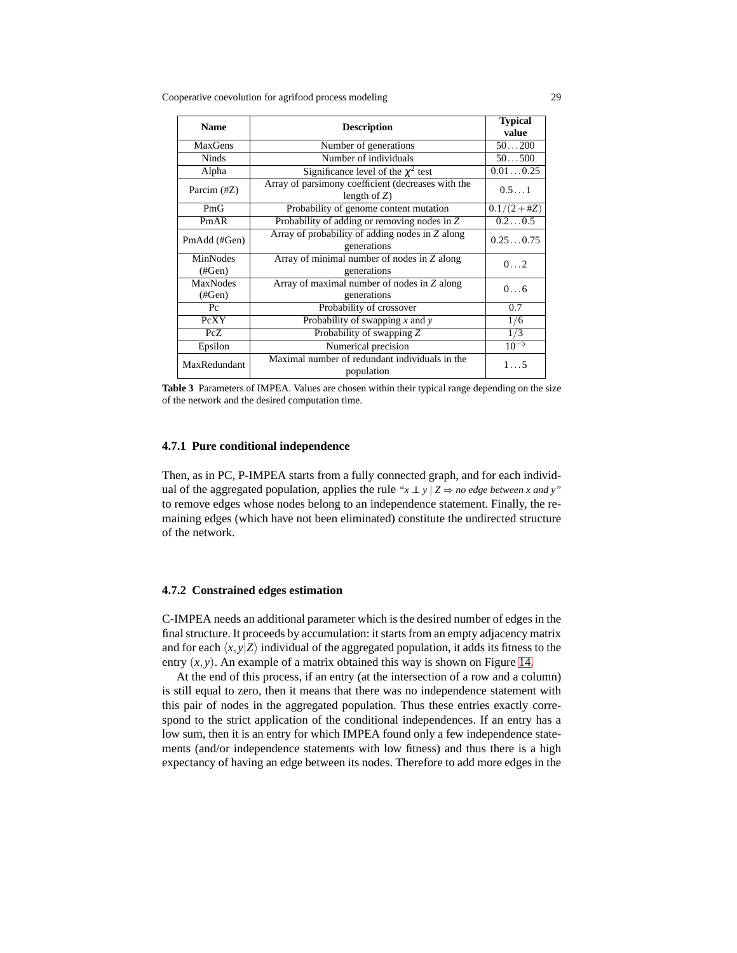Cooperative coevolution for agrifood process modeling 29

| <b>Name</b>                                                                    | <b>Description</b>                                                    | <b>Typical</b><br>value |
|--------------------------------------------------------------------------------|-----------------------------------------------------------------------|-------------------------|
| MaxGens                                                                        | Number of generations                                                 | 50200                   |
| Ninds                                                                          | Number of individuals                                                 | 50500                   |
| Alpha                                                                          | Significance level of the $\chi^2$ test                               | 0.010.25                |
| Parcim (#Z)                                                                    | Array of parsimony coefficient (decreases with the<br>length of $Z$ ) | 0.51                    |
| PmG                                                                            | Probability of genome content mutation                                | $0.1/(2 + \#Z)$         |
| PmAR                                                                           | Probability of adding or removing nodes in Z                          | 0.20.5                  |
| Array of probability of adding nodes in Z along<br>PmAdd (#Gen)<br>generations |                                                                       | 0.250.75                |
| MinNodes<br>#Gen)                                                              | Array of minimal number of nodes in Z along<br>generations            | 02                      |
| MaxNodes<br>(HGen)                                                             | Array of maximal number of nodes in Z along<br>generations            | 06                      |
| $P_{\rm C}$                                                                    | Probability of crossover                                              |                         |
| PcXY                                                                           | Probability of swapping $x$ and $y$                                   |                         |
| PcZ                                                                            | Probability of swapping Z                                             | 1/3                     |
| Epsilon                                                                        | Numerical precision                                                   | $10^{-5}$               |
| Maximal number of redundant individuals in the<br>MaxRedundant<br>population   |                                                                       | $1 \ldots 5$            |

<span id="page-28-0"></span>**Table 3** Parameters of IMPEA. Values are chosen within their typical range depending on the size of the network and the desired computation time.

### **4.7.1 Pure conditional independence**

Then, as in PC, P-IMPEA starts from a fully connected graph, and for each individual of the aggregated population, applies the rule  $x \perp y \mid Z \Rightarrow$  *no edge between x and y*" to remove edges whose nodes belong to an independence statement. Finally, the remaining edges (which have not been eliminated) constitute the undirected structure of the network.

# **4.7.2 Constrained edges estimation**

C-IMPEA needs an additional parameter which is the desired number of edges in the final structure. It proceeds by accumulation: it starts from an empty adjacency matrix and for each  $\langle x, y|Z \rangle$  individual of the aggregated population, it adds its fitness to the entry  $(x, y)$ . An example of a matrix obtained this way is shown on Figure [14.](#page-29-0)

At the end of this process, if an entry (at the intersection of a row and a column) is still equal to zero, then it means that there was no independence statement with this pair of nodes in the aggregated population. Thus these entries exactly correspond to the strict application of the conditional independences. If an entry has a low sum, then it is an entry for which IMPEA found only a few independence statements (and/or independence statements with low fitness) and thus there is a high expectancy of having an edge between its nodes. Therefore to add more edges in the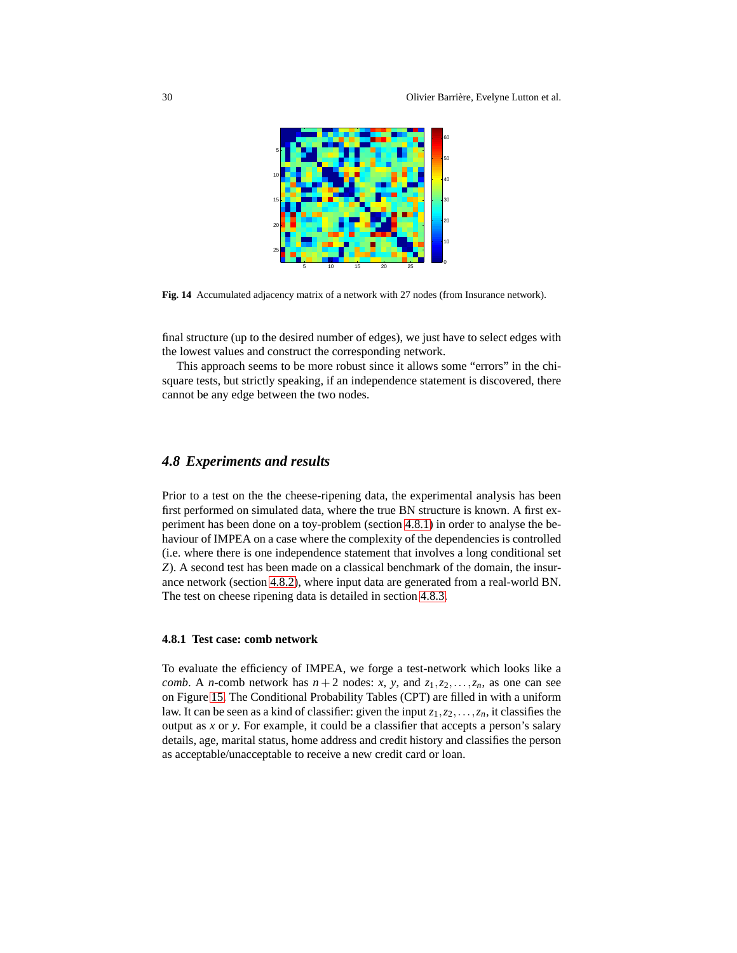

<span id="page-29-0"></span>**Fig. 14** Accumulated adjacency matrix of a network with 27 nodes (from Insurance network).

final structure (up to the desired number of edges), we just have to select edges with the lowest values and construct the corresponding network.

This approach seems to be more robust since it allows some "errors" in the chisquare tests, but strictly speaking, if an independence statement is discovered, there cannot be any edge between the two nodes.

# <span id="page-29-2"></span>*4.8 Experiments and results*

Prior to a test on the the cheese-ripening data, the experimental analysis has been first performed on simulated data, where the true BN structure is known. A first experiment has been done on a toy-problem (section [4.8.1\)](#page-29-1) in order to analyse the behaviour of IMPEA on a case where the complexity of the dependencies is controlled (i.e. where there is one independence statement that involves a long conditional set *Z*). A second test has been made on a classical benchmark of the domain, the insurance network (section [4.8.2\)](#page-33-0), where input data are generated from a real-world BN. The test on cheese ripening data is detailed in section [4.8.3.](#page-34-0)

### <span id="page-29-1"></span>**4.8.1 Test case: comb network**

To evaluate the efficiency of IMPEA, we forge a test-network which looks like a *comb.* A *n*-comb network has  $n + 2$  nodes: *x*, *y*, and  $z_1, z_2, \ldots, z_n$ , as one can see on Figure [15.](#page-30-0) The Conditional Probability Tables (CPT) are filled in with a uniform law. It can be seen as a kind of classifier: given the input  $z_1, z_2, \ldots, z_n$ , it classifies the output as *x* or *y*. For example, it could be a classifier that accepts a person's salary details, age, marital status, home address and credit history and classifies the person as acceptable/unacceptable to receive a new credit card or loan.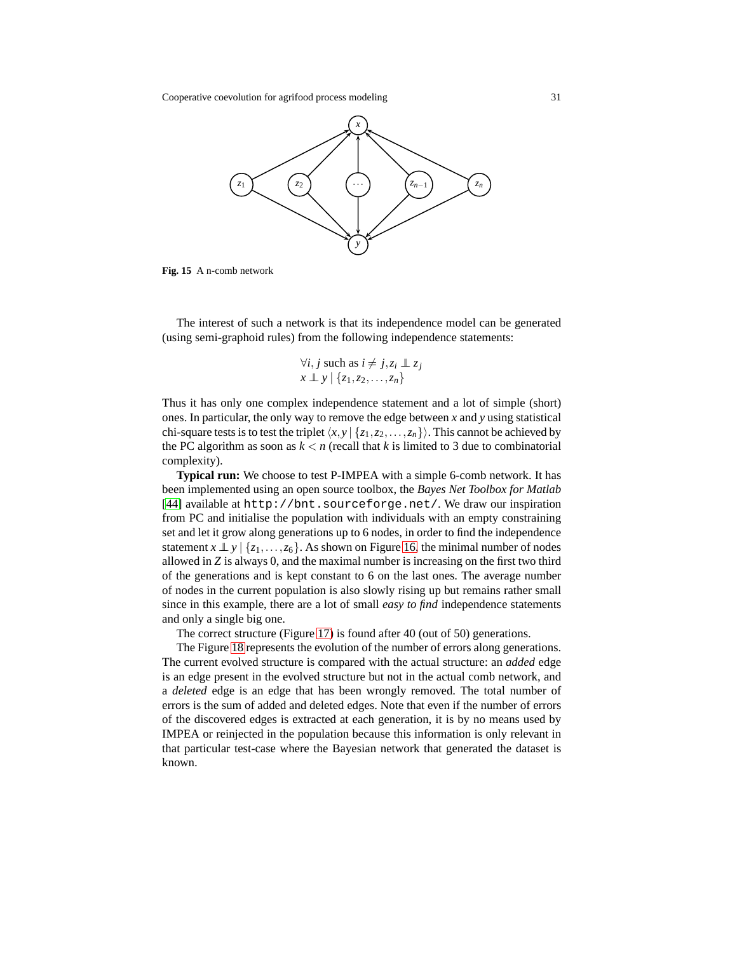

<span id="page-30-0"></span>**Fig. 15** A n-comb network

The interest of such a network is that its independence model can be generated (using semi-graphoid rules) from the following independence statements:

$$
\forall i, j \text{ such as } i \neq j, z_i \perp z_j
$$
  

$$
x \perp y \mid \{z_1, z_2, \dots, z_n\}
$$

Thus it has only one complex independence statement and a lot of simple (short) ones. In particular, the only way to remove the edge between *x* and *y* using statistical chi-square tests is to test the triplet  $\langle x, y | \{z_1, z_2, \ldots, z_n\} \rangle$ . This cannot be achieved by the PC algorithm as soon as  $k < n$  (recall that  $k$  is limited to 3 due to combinatorial complexity).

**Typical run:** We choose to test P-IMPEA with a simple 6-comb network. It has been implemented using an open source toolbox, the *Bayes Net Toolbox for Matlab* [\[44\]](#page-40-21) available at http://bnt.sourceforge.net/. We draw our inspiration from PC and initialise the population with individuals with an empty constraining set and let it grow along generations up to 6 nodes, in order to find the independence statement  $x \perp y | \{z_1, \ldots, z_6\}$ . As shown on Figure [16,](#page-31-0) the minimal number of nodes allowed in *Z* is always 0, and the maximal number is increasing on the first two third of the generations and is kept constant to 6 on the last ones. The average number of nodes in the current population is also slowly rising up but remains rather small since in this example, there are a lot of small *easy to find* independence statements and only a single big one.

The correct structure (Figure [17\)](#page-31-1) is found after 40 (out of 50) generations.

The Figure [18](#page-31-2) represents the evolution of the number of errors along generations. The current evolved structure is compared with the actual structure: an *added* edge is an edge present in the evolved structure but not in the actual comb network, and a *deleted* edge is an edge that has been wrongly removed. The total number of errors is the sum of added and deleted edges. Note that even if the number of errors of the discovered edges is extracted at each generation, it is by no means used by IMPEA or reinjected in the population because this information is only relevant in that particular test-case where the Bayesian network that generated the dataset is known.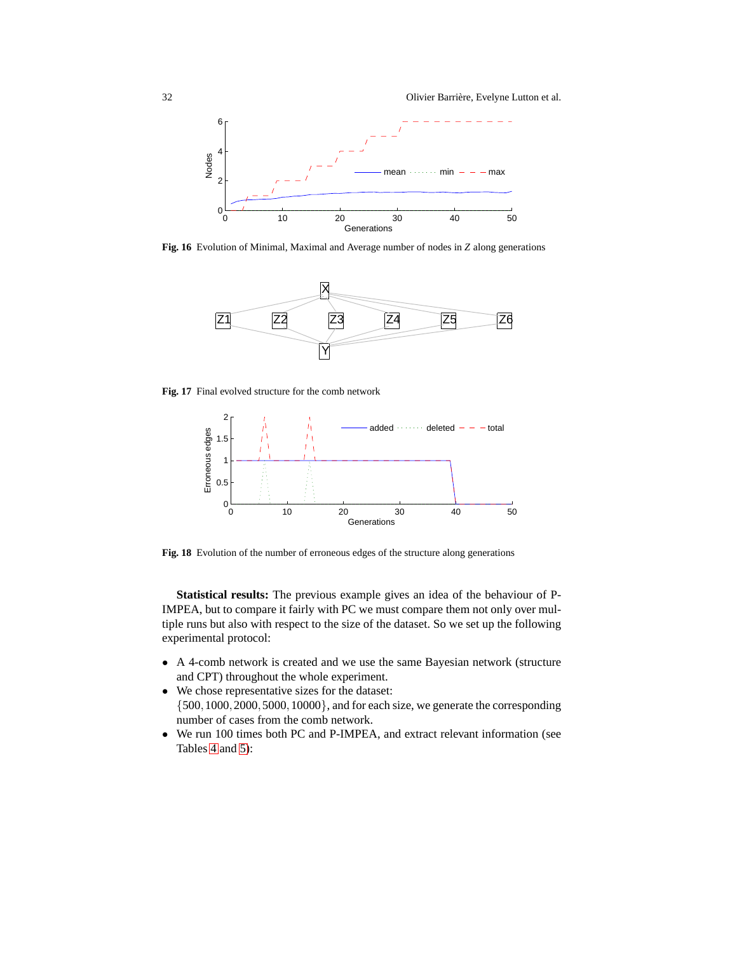32 Olivier Barriere, Evelyne Lutton et al. `



<span id="page-31-0"></span>**Fig. 16** Evolution of Minimal, Maximal and Average number of nodes in *Z* along generations



<span id="page-31-1"></span>**Fig. 17** Final evolved structure for the comb network



<span id="page-31-2"></span>**Fig. 18** Evolution of the number of erroneous edges of the structure along generations

**Statistical results:** The previous example gives an idea of the behaviour of P-IMPEA, but to compare it fairly with PC we must compare them not only over multiple runs but also with respect to the size of the dataset. So we set up the following experimental protocol:

- A 4-comb network is created and we use the same Bayesian network (structure and CPT) throughout the whole experiment.
- We chose representative sizes for the dataset:  $\{500, 1000, 2000, 5000, 10000\}$ , and for each size, we generate the corresponding number of cases from the comb network.
- We run 100 times both PC and P-IMPEA, and extract relevant information (see Tables [4](#page-32-0) and [5\)](#page-33-1):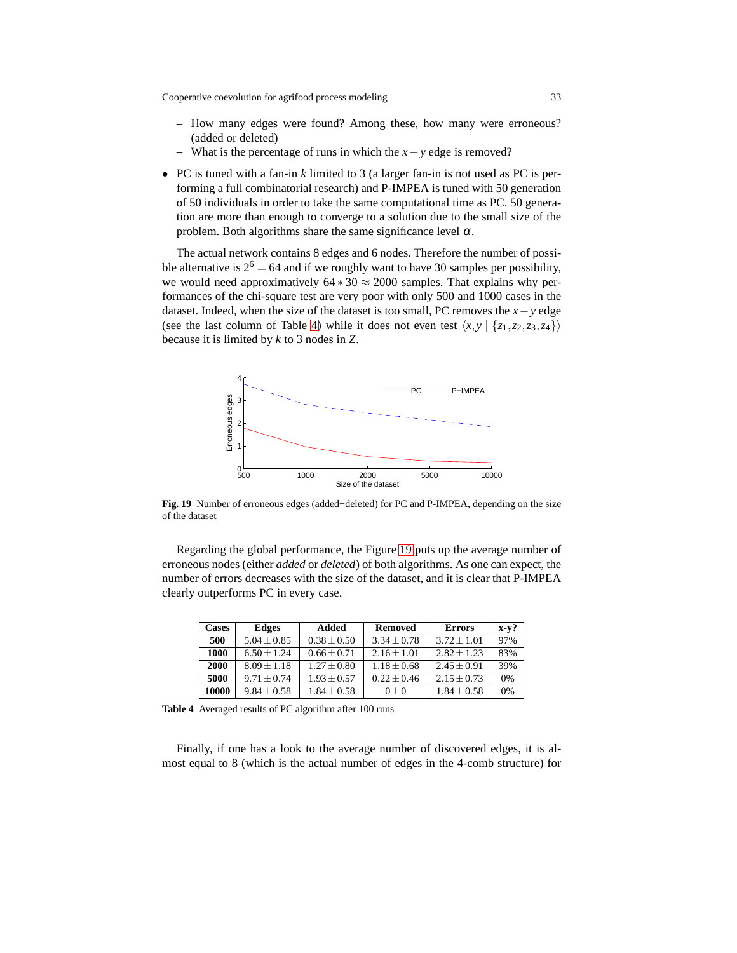- How many edges were found? Among these, how many were erroneous? (added or deleted)
- What is the percentage of runs in which the  $x y$  edge is removed?
- PC is tuned with a fan-in *k* limited to 3 (a larger fan-in is not used as PC is performing a full combinatorial research) and P-IMPEA is tuned with 50 generation of 50 individuals in order to take the same computational time as PC. 50 generation are more than enough to converge to a solution due to the small size of the problem. Both algorithms share the same significance level  $\alpha$ .

The actual network contains 8 edges and 6 nodes. Therefore the number of possible alternative is  $2^6 = 64$  and if we roughly want to have 30 samples per possibility, we would need approximatively  $64 * 30 \approx 2000$  samples. That explains why performances of the chi-square test are very poor with only 500 and 1000 cases in the dataset. Indeed, when the size of the dataset is too small, PC removes the *x*−*y* edge (see the last column of Table [4\)](#page-32-0) while it does not even test  $\langle x, y | \{z_1, z_2, z_3, z_4\} \rangle$ because it is limited by *k* to 3 nodes in *Z*.



<span id="page-32-1"></span>**Fig. 19** Number of erroneous edges (added+deleted) for PC and P-IMPEA, depending on the size of the dataset

Regarding the global performance, the Figure [19](#page-32-1) puts up the average number of erroneous nodes (either *added* or *deleted*) of both algorithms. As one can expect, the number of errors decreases with the size of the dataset, and it is clear that P-IMPEA clearly outperforms PC in every case.

| <b>Cases</b> | Edges         | Added           | <b>Removed</b> | <b>Errors</b>   | $x-y?$ |
|--------------|---------------|-----------------|----------------|-----------------|--------|
| 500          | $5.04 + 0.85$ | $0.38 \pm 0.50$ | $3.34 + 0.78$  | $3.72 + 1.01$   | 97%    |
| 1000         | $6.50 + 1.24$ | $0.66 \pm 0.71$ | $2.16 + 1.01$  | $2.82 + 1.23$   | 83%    |
| 2000         | $8.09 + 1.18$ | $1.27 + 0.80$   | $1.18 + 0.68$  | $2.45 + 0.91$   | 39%    |
| 5000         | $9.71 + 0.74$ | $1.93 + 0.57$   | $0.22 + 0.46$  | $2.15 \pm 0.73$ | 0%     |
| 10000        | $9.84 + 0.58$ | $1.84 + 0.58$   | $0 + 0$        | $1.84 \pm 0.58$ | 0%     |

<span id="page-32-0"></span>**Table 4** Averaged results of PC algorithm after 100 runs

Finally, if one has a look to the average number of discovered edges, it is almost equal to 8 (which is the actual number of edges in the 4-comb structure) for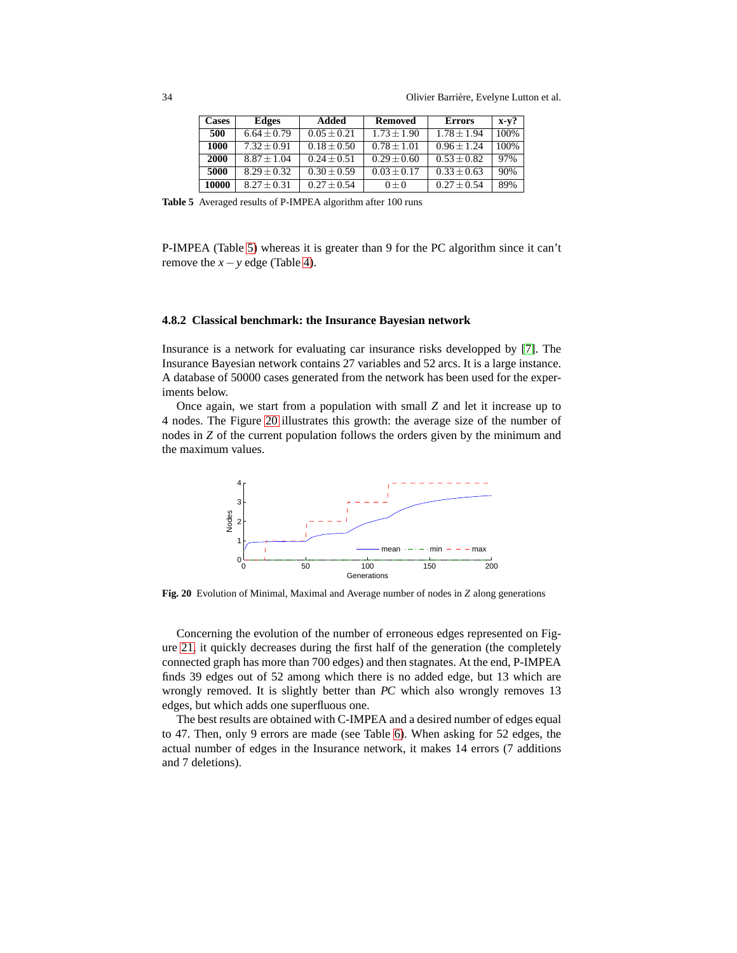| <b>Cases</b> | <b>Edges</b>    | Added         | <b>Removed</b> | <b>Errors</b>   | $x-v?$ |
|--------------|-----------------|---------------|----------------|-----------------|--------|
| 500          | $6.64 + 0.79$   | $0.05 + 0.21$ | $1.73 + 1.90$  | $1.78 + 1.94$   | 100%   |
| 1000         | $7.32 + 0.91$   | $0.18 + 0.50$ | $0.78 + 1.01$  | $0.96 + 1.24$   | 100%   |
| 2000         | $8.87 \pm 1.04$ | $0.24 + 0.51$ | $0.29 + 0.60$  | $0.53 + 0.82$   | 97%    |
| 5000         | $8.29 + 0.32$   | $0.30 + 0.59$ | $0.03 + 0.17$  | $0.33 \pm 0.63$ | 90%    |
| 10000        | $8.27 + 0.31$   | $0.27 + 0.54$ | $0 + 0$        | $0.27 \pm 0.54$ | 89%    |

<span id="page-33-1"></span>**Table 5** Averaged results of P-IMPEA algorithm after 100 runs

P-IMPEA (Table [5\)](#page-33-1) whereas it is greater than 9 for the PC algorithm since it can't remove the  $x - y$  edge (Table [4\)](#page-32-0).

#### <span id="page-33-0"></span>**4.8.2 Classical benchmark: the Insurance Bayesian network**

Insurance is a network for evaluating car insurance risks developped by [\[7\]](#page-38-18). The Insurance Bayesian network contains 27 variables and 52 arcs. It is a large instance. A database of 50000 cases generated from the network has been used for the experiments below.

Once again, we start from a population with small *Z* and let it increase up to 4 nodes. The Figure [20](#page-33-2) illustrates this growth: the average size of the number of nodes in *Z* of the current population follows the orders given by the minimum and the maximum values.



<span id="page-33-2"></span>**Fig. 20** Evolution of Minimal, Maximal and Average number of nodes in *Z* along generations

Concerning the evolution of the number of erroneous edges represented on Figure [21,](#page-34-1) it quickly decreases during the first half of the generation (the completely connected graph has more than 700 edges) and then stagnates. At the end, P-IMPEA finds 39 edges out of 52 among which there is no added edge, but 13 which are wrongly removed. It is slightly better than *PC* which also wrongly removes 13 edges, but which adds one superfluous one.

The best results are obtained with C-IMPEA and a desired number of edges equal to 47. Then, only 9 errors are made (see Table [6\)](#page-34-2). When asking for 52 edges, the actual number of edges in the Insurance network, it makes 14 errors (7 additions and 7 deletions).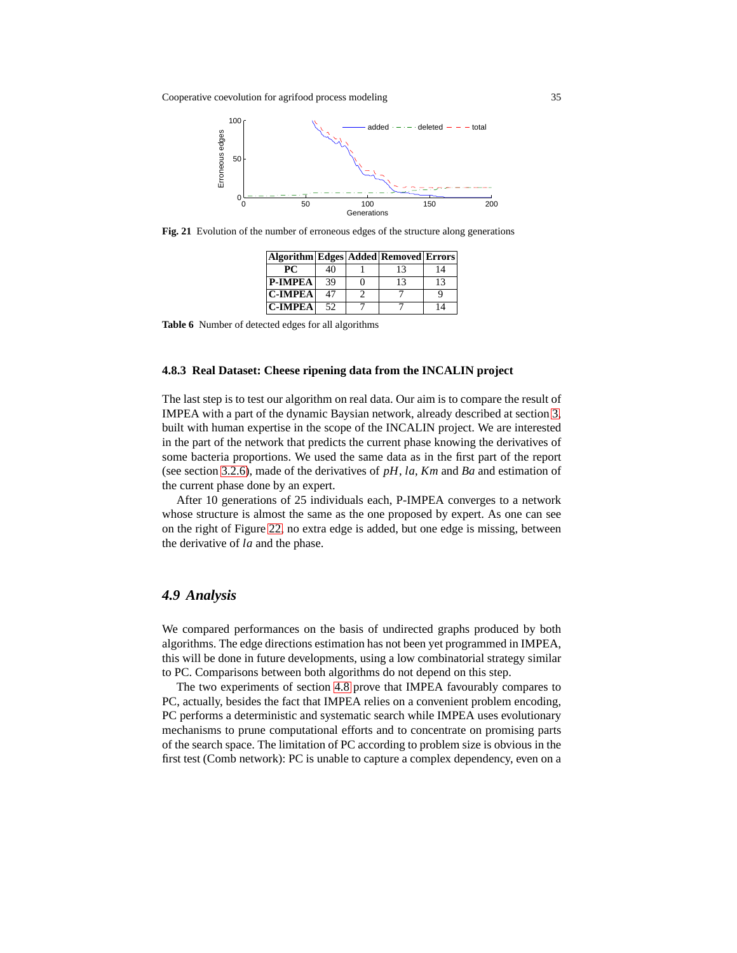

<span id="page-34-1"></span>**Fig. 21** Evolution of the number of erroneous edges of the structure along generations

| Algorithm Edges Added Removed Errors |    |    |    |
|--------------------------------------|----|----|----|
| РC                                   | 40 | 13 | 14 |
| $ $ P-IMPEA                          | 39 | 13 | 13 |
| $C$ -IMPEA                           | 47 |    |    |
| $ $ C-IMPEA $ $                      | 52 |    | 14 |

<span id="page-34-2"></span>**Table 6** Number of detected edges for all algorithms

### <span id="page-34-0"></span>**4.8.3 Real Dataset: Cheese ripening data from the INCALIN project**

The last step is to test our algorithm on real data. Our aim is to compare the result of IMPEA with a part of the dynamic Baysian network, already described at section [3,](#page-7-0) built with human expertise in the scope of the INCALIN project. We are interested in the part of the network that predicts the current phase knowing the derivatives of some bacteria proportions. We used the same data as in the first part of the report (see section [3.2.6\)](#page-14-0), made of the derivatives of *pH*, *la*, *Km* and *Ba* and estimation of the current phase done by an expert.

After 10 generations of 25 individuals each, P-IMPEA converges to a network whose structure is almost the same as the one proposed by expert. As one can see on the right of Figure [22,](#page-35-0) no extra edge is added, but one edge is missing, between the derivative of *la* and the phase.

# *4.9 Analysis*

We compared performances on the basis of undirected graphs produced by both algorithms. The edge directions estimation has not been yet programmed in IMPEA, this will be done in future developments, using a low combinatorial strategy similar to PC. Comparisons between both algorithms do not depend on this step.

The two experiments of section [4.8](#page-29-2) prove that IMPEA favourably compares to PC, actually, besides the fact that IMPEA relies on a convenient problem encoding, PC performs a deterministic and systematic search while IMPEA uses evolutionary mechanisms to prune computational efforts and to concentrate on promising parts of the search space. The limitation of PC according to problem size is obvious in the first test (Comb network): PC is unable to capture a complex dependency, even on a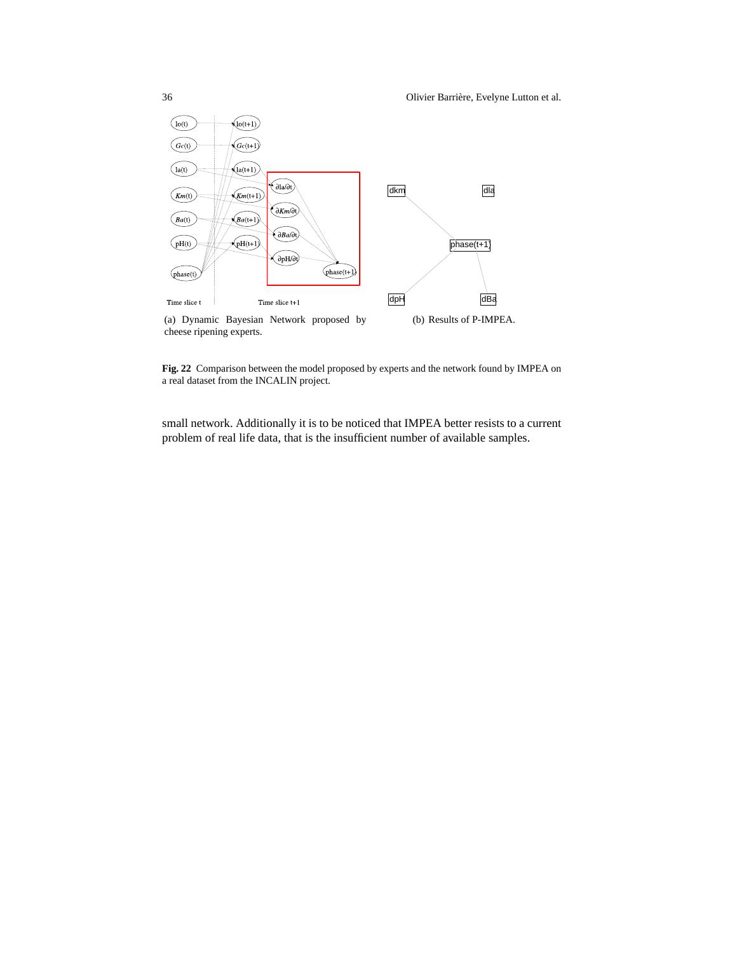

<span id="page-35-0"></span>**Fig. 22** Comparison between the model proposed by experts and the network found by IMPEA on a real dataset from the INCALIN project.

small network. Additionally it is to be noticed that IMPEA better resists to a current problem of real life data, that is the insufficient number of available samples.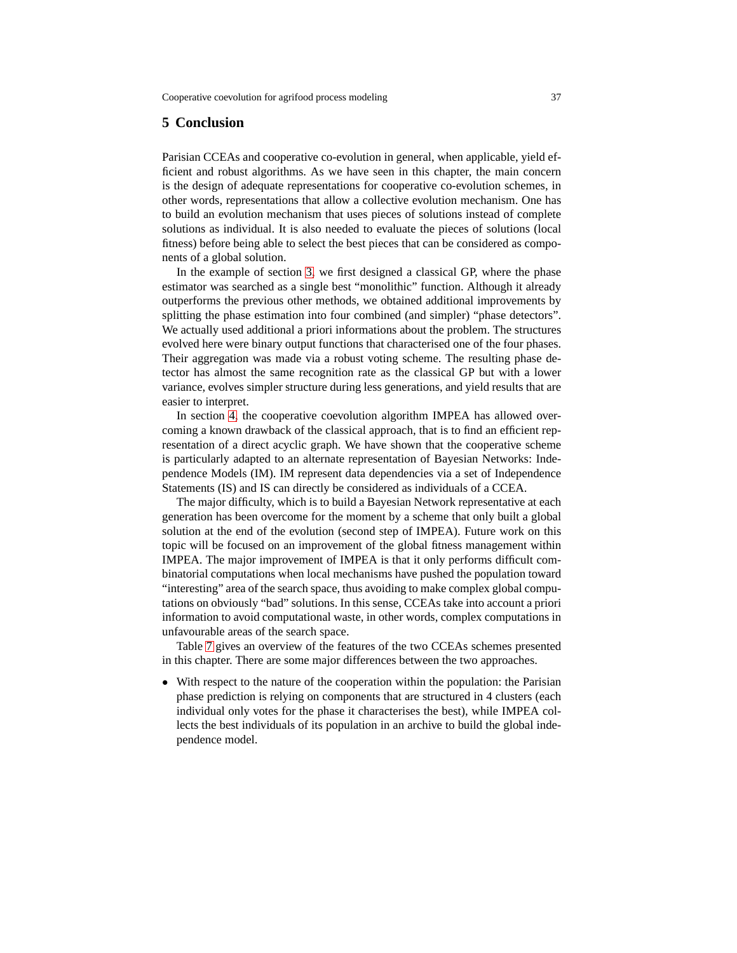# <span id="page-36-0"></span>**5 Conclusion**

Parisian CCEAs and cooperative co-evolution in general, when applicable, yield efficient and robust algorithms. As we have seen in this chapter, the main concern is the design of adequate representations for cooperative co-evolution schemes, in other words, representations that allow a collective evolution mechanism. One has to build an evolution mechanism that uses pieces of solutions instead of complete solutions as individual. It is also needed to evaluate the pieces of solutions (local fitness) before being able to select the best pieces that can be considered as components of a global solution.

In the example of section [3,](#page-7-0) we first designed a classical GP, where the phase estimator was searched as a single best "monolithic" function. Although it already outperforms the previous other methods, we obtained additional improvements by splitting the phase estimation into four combined (and simpler) "phase detectors". We actually used additional a priori informations about the problem. The structures evolved here were binary output functions that characterised one of the four phases. Their aggregation was made via a robust voting scheme. The resulting phase detector has almost the same recognition rate as the classical GP but with a lower variance, evolves simpler structure during less generations, and yield results that are easier to interpret.

In section [4,](#page-17-0) the cooperative coevolution algorithm IMPEA has allowed overcoming a known drawback of the classical approach, that is to find an efficient representation of a direct acyclic graph. We have shown that the cooperative scheme is particularly adapted to an alternate representation of Bayesian Networks: Independence Models (IM). IM represent data dependencies via a set of Independence Statements (IS) and IS can directly be considered as individuals of a CCEA.

The major difficulty, which is to build a Bayesian Network representative at each generation has been overcome for the moment by a scheme that only built a global solution at the end of the evolution (second step of IMPEA). Future work on this topic will be focused on an improvement of the global fitness management within IMPEA. The major improvement of IMPEA is that it only performs difficult combinatorial computations when local mechanisms have pushed the population toward "interesting" area of the search space, thus avoiding to make complex global computations on obviously "bad" solutions. In this sense, CCEAs take into account a priori information to avoid computational waste, in other words, complex computations in unfavourable areas of the search space.

Table [7](#page-37-0) gives an overview of the features of the two CCEAs schemes presented in this chapter. There are some major differences between the two approaches.

• With respect to the nature of the cooperation within the population: the Parisian phase prediction is relying on components that are structured in 4 clusters (each individual only votes for the phase it characterises the best), while IMPEA collects the best individuals of its population in an archive to build the global independence model.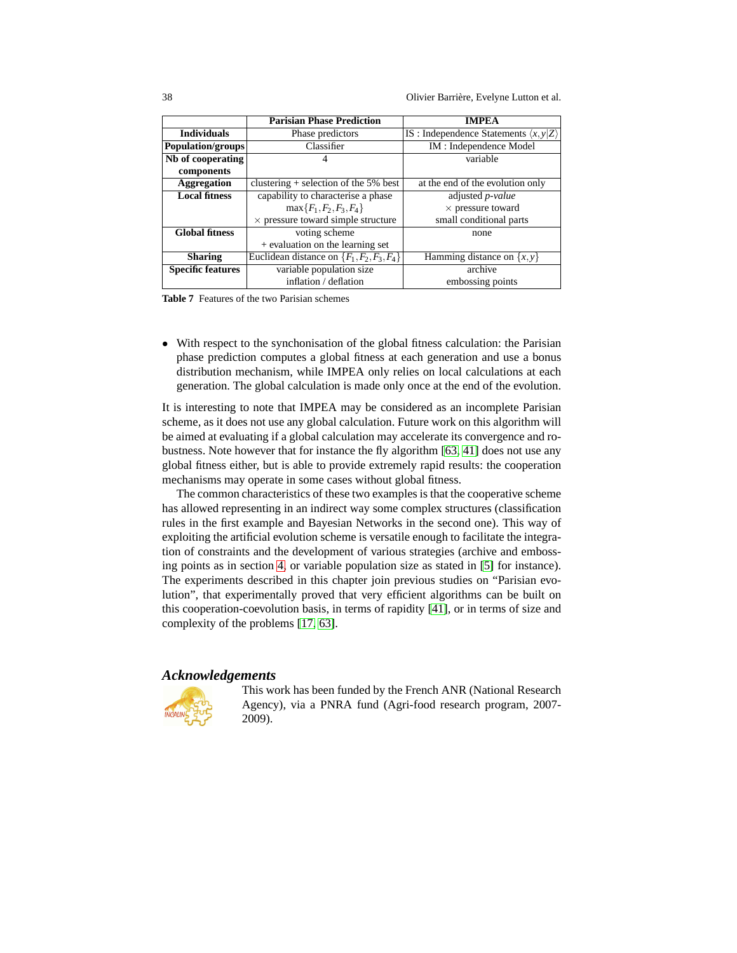|                          | <b>Parisian Phase Prediction</b>               | <b>IMPEA</b>                                            |
|--------------------------|------------------------------------------------|---------------------------------------------------------|
| <b>Individuals</b>       | Phase predictors                               | IS : Independence Statements $\langle x, y   Z \rangle$ |
| Population/groups        | Classifier                                     | IM: Independence Model                                  |
| Nb of cooperating        |                                                | variable                                                |
| components               |                                                |                                                         |
| <b>Aggregation</b>       | clustering $+$ selection of the 5% best        | at the end of the evolution only                        |
| <b>Local fitness</b>     | capability to characterise a phase             | adjusted <i>p</i> -value                                |
|                          | $max{F_1, F_2, F_3, F_4}$                      | $\times$ pressure toward                                |
|                          | $\times$ pressure toward simple structure      | small conditional parts                                 |
| <b>Global fitness</b>    | voting scheme                                  | none                                                    |
|                          | + evaluation on the learning set               |                                                         |
| <b>Sharing</b>           | Euclidean distance on $\{F_1, F_2, F_3, F_4\}$ | Hamming distance on $\{x, y\}$                          |
| <b>Specific features</b> | variable population size                       | archive                                                 |
|                          | inflation / deflation                          | embossing points                                        |

<span id="page-37-0"></span>**Table 7** Features of the two Parisian schemes

• With respect to the synchonisation of the global fitness calculation: the Parisian phase prediction computes a global fitness at each generation and use a bonus distribution mechanism, while IMPEA only relies on local calculations at each generation. The global calculation is made only once at the end of the evolution.

It is interesting to note that IMPEA may be considered as an incomplete Parisian scheme, as it does not use any global calculation. Future work on this algorithm will be aimed at evaluating if a global calculation may accelerate its convergence and robustness. Note however that for instance the fly algorithm [\[63,](#page-41-5) [41\]](#page-40-19) does not use any global fitness either, but is able to provide extremely rapid results: the cooperation mechanisms may operate in some cases without global fitness.

The common characteristics of these two examples is that the cooperative scheme has allowed representing in an indirect way some complex structures (classification rules in the first example and Bayesian Networks in the second one). This way of exploiting the artificial evolution scheme is versatile enough to facilitate the integration of constraints and the development of various strategies (archive and embossing points as in section [4,](#page-17-0) or variable population size as stated in [\[5\]](#page-38-19) for instance). The experiments described in this chapter join previous studies on "Parisian evolution", that experimentally proved that very efficient algorithms can be built on this cooperation-coevolution basis, in terms of rapidity [\[41\]](#page-40-19), or in terms of size and complexity of the problems [\[17,](#page-38-2) [63\]](#page-41-5).

# *Acknowledgements*



This work has been funded by the French ANR (National Research Agency), via a PNRA fund (Agri-food research program, 2007- 2009).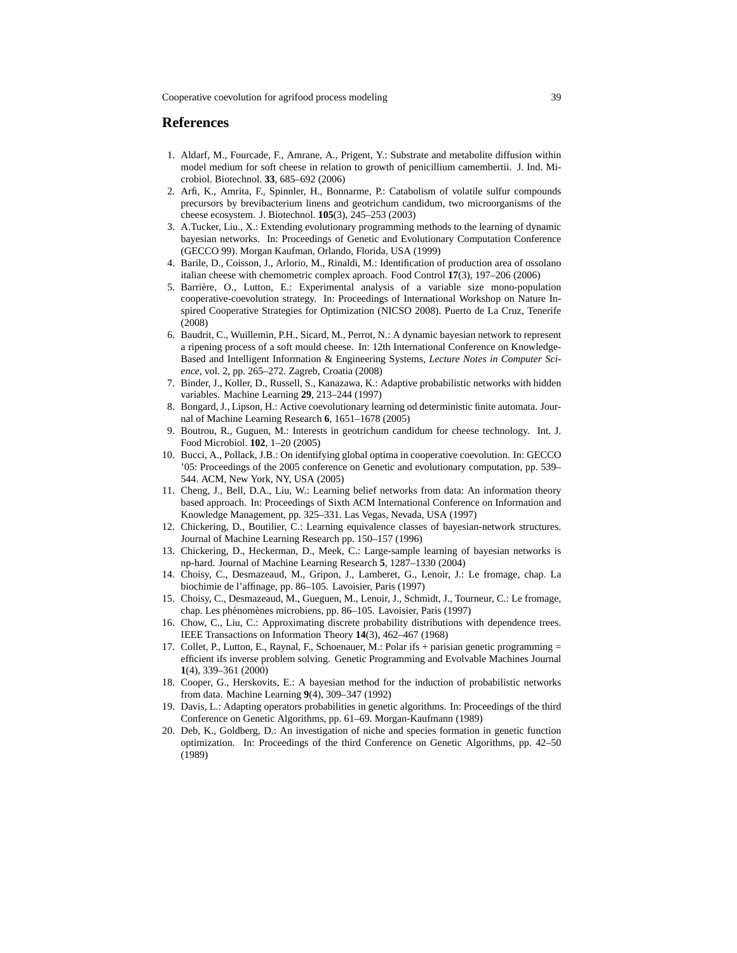# <span id="page-38-3"></span>**References**

- 1. Aldarf, M., Fourcade, F., Amrane, A., Prigent, Y.: Substrate and metabolite diffusion within model medium for soft cheese in relation to growth of penicillium camembertii. J. Ind. Microbiol. Biotechnol. **33**, 685–692 (2006)
- <span id="page-38-7"></span>2. Arfi, K., Amrita, F., Spinnler, H., Bonnarme, P.: Catabolism of volatile sulfur compounds precursors by brevibacterium linens and geotrichum candidum, two microorganisms of the cheese ecosystem. J. Biotechnol. **105**(3), 245–253 (2003)
- <span id="page-38-13"></span>3. A.Tucker, Liu., X.: Extending evolutionary programming methods to the learning of dynamic bayesian networks. In: Proceedings of Genetic and Evolutionary Computation Conference (GECCO 99). Morgan Kaufman, Orlando, Florida, USA (1999)
- <span id="page-38-9"></span>4. Barile, D., Coisson, J., Arlorio, M., Rinaldi, M.: Identification of production area of ossolano italian cheese with chemometric complex aproach. Food Control **17**(3), 197–206 (2006)
- <span id="page-38-19"></span>5. Barrière, O., Lutton, E.: Experimental analysis of a variable size mono-population cooperative-coevolution strategy. In: Proceedings of International Workshop on Nature Inspired Cooperative Strategies for Optimization (NICSO 2008). Puerto de La Cruz, Tenerife (2008)
- <span id="page-38-4"></span>6. Baudrit, C., Wuillemin, P.H., Sicard, M., Perrot, N.: A dynamic bayesian network to represent a ripening process of a soft mould cheese. In: 12th International Conference on Knowledge-Based and Intelligent Information & Engineering Systems, *Lecture Notes in Computer Science*, vol. 2, pp. 265–272. Zagreb, Croatia (2008)
- <span id="page-38-18"></span><span id="page-38-0"></span>7. Binder, J., Koller, D., Russell, S., Kanazawa, K.: Adaptive probabilistic networks with hidden variables. Machine Learning **29**, 213–244 (1997)
- 8. Bongard, J., Lipson, H.: Active coevolutionary learning od deterministic finite automata. Journal of Machine Learning Research **6**, 1651–1678 (2005)
- <span id="page-38-8"></span>9. Boutrou, R., Guguen, M.: Interests in geotrichum candidum for cheese technology. Int. J. Food Microbiol. **102**, 1–20 (2005)
- <span id="page-38-1"></span>10. Bucci, A., Pollack, J.B.: On identifying global optima in cooperative coevolution. In: GECCO '05: Proceedings of the 2005 conference on Genetic and evolutionary computation, pp. 539– 544. ACM, New York, NY, USA (2005)
- <span id="page-38-14"></span>11. Cheng, J., Bell, D.A., Liu, W.: Learning belief networks from data: An information theory based approach. In: Proceedings of Sixth ACM International Conference on Information and Knowledge Management, pp. 325–331. Las Vegas, Nevada, USA (1997)
- <span id="page-38-17"></span>12. Chickering, D., Boutilier, C.: Learning equivalence classes of bayesian-network structures. Journal of Machine Learning Research pp. 150–157 (1996)
- <span id="page-38-12"></span>13. Chickering, D., Heckerman, D., Meek, C.: Large-sample learning of bayesian networks is np-hard. Journal of Machine Learning Research **5**, 1287–1330 (2004)
- <span id="page-38-5"></span>14. Choisy, C., Desmazeaud, M., Gripon, J., Lamberet, G., Lenoir, J.: Le fromage, chap. La biochimie de l'affinage, pp. 86–105. Lavoisier, Paris (1997)
- <span id="page-38-6"></span>15. Choisy, C., Desmazeaud, M., Gueguen, M., Lenoir, J., Schmidt, J., Tourneur, C.: Le fromage, chap. Les phénomènes microbiens, pp. 86-105. Lavoisier, Paris (1997)
- <span id="page-38-15"></span>16. Chow, C., Liu, C.: Approximating discrete probability distributions with dependence trees. IEEE Transactions on Information Theory **14**(3), 462–467 (1968)
- <span id="page-38-2"></span>17. Collet, P., Lutton, E., Raynal, F., Schoenauer, M.: Polar ifs + parisian genetic programming = efficient ifs inverse problem solving. Genetic Programming and Evolvable Machines Journal **1**(4), 339–361 (2000)
- <span id="page-38-16"></span>18. Cooper, G., Herskovits, E.: A bayesian method for the induction of probabilistic networks from data. Machine Learning **9**(4), 309–347 (1992)
- <span id="page-38-10"></span>19. Davis, L.: Adapting operators probabilities in genetic algorithms. In: Proceedings of the third Conference on Genetic Algorithms, pp. 61–69. Morgan-Kaufmann (1989)
- <span id="page-38-11"></span>20. Deb, K., Goldberg, D.: An investigation of niche and species formation in genetic function optimization. In: Proceedings of the third Conference on Genetic Algorithms, pp. 42–50 (1989)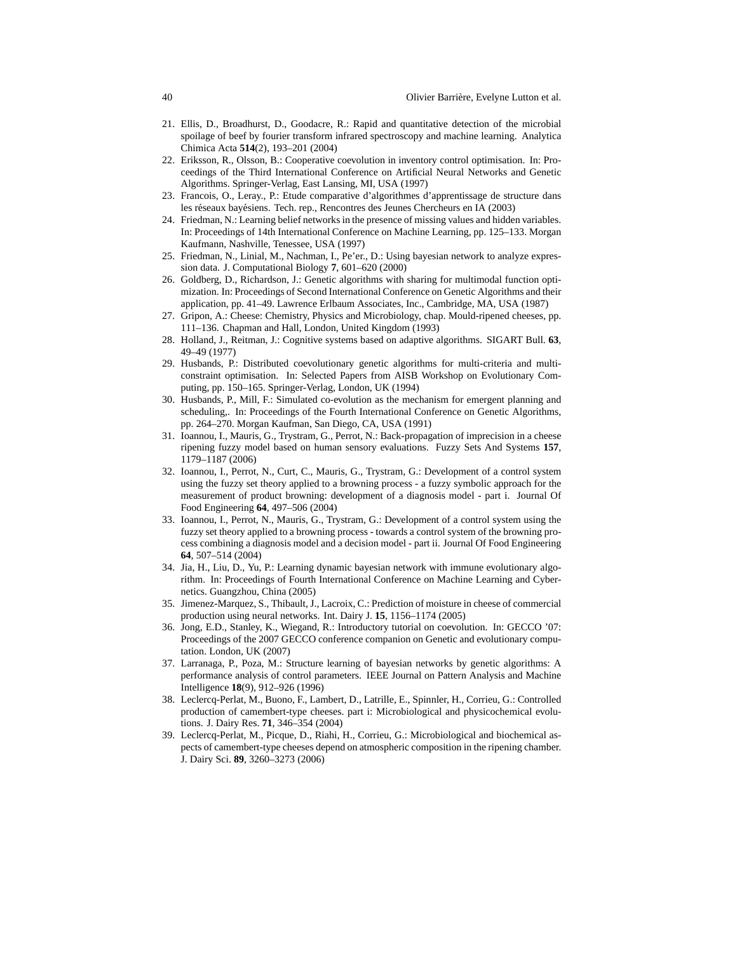- <span id="page-39-12"></span>21. Ellis, D., Broadhurst, D., Goodacre, R.: Rapid and quantitative detection of the microbial spoilage of beef by fourier transform infrared spectroscopy and machine learning. Analytica Chimica Acta **514**(2), 193–201 (2004)
- <span id="page-39-2"></span>22. Eriksson, R., Olsson, B.: Cooperative coevolution in inventory control optimisation. In: Proceedings of the Third International Conference on Artificial Neural Networks and Genetic Algorithms. Springer-Verlag, East Lansing, MI, USA (1997)
- <span id="page-39-16"></span>23. Francois, O., Leray., P.: Etude comparative d'algorithmes d'apprentissage de structure dans les réseaux bayésiens. Tech. rep., Rencontres des Jeunes Chercheurs en IA (2003)
- <span id="page-39-17"></span>24. Friedman, N.: Learning belief networks in the presence of missing values and hidden variables. In: Proceedings of 14th International Conference on Machine Learning, pp. 125–133. Morgan Kaufmann, Nashville, Tenessee, USA (1997)
- <span id="page-39-15"></span>25. Friedman, N., Linial, M., Nachman, I., Pe'er., D.: Using bayesian network to analyze expression data. J. Computational Biology **7**, 601–620 (2000)
- <span id="page-39-18"></span>26. Goldberg, D., Richardson, J.: Genetic algorithms with sharing for multimodal function optimization. In: Proceedings of Second International Conference on Genetic Algorithms and their application, pp. 41–49. Lawrence Erlbaum Associates, Inc., Cambridge, MA, USA (1987)
- <span id="page-39-11"></span>27. Gripon, A.: Cheese: Chemistry, Physics and Microbiology, chap. Mould-ripened cheeses, pp. 111–136. Chapman and Hall, London, United Kingdom (1993)
- <span id="page-39-4"></span>28. Holland, J., Reitman, J.: Cognitive systems based on adaptive algorithms. SIGART Bull. **63**, 49–49 (1977)
- <span id="page-39-1"></span>29. Husbands, P.: Distributed coevolutionary genetic algorithms for multi-criteria and multiconstraint optimisation. In: Selected Papers from AISB Workshop on Evolutionary Computing, pp. 150–165. Springer-Verlag, London, UK (1994)
- <span id="page-39-0"></span>30. Husbands, P., Mill, F.: Simulated co-evolution as the mechanism for emergent planning and scheduling,. In: Proceedings of the Fourth International Conference on Genetic Algorithms, pp. 264–270. Morgan Kaufman, San Diego, CA, USA (1991)
- <span id="page-39-7"></span>31. Ioannou, I., Mauris, G., Trystram, G., Perrot, N.: Back-propagation of imprecision in a cheese ripening fuzzy model based on human sensory evaluations. Fuzzy Sets And Systems **157**, 1179–1187 (2006)
- <span id="page-39-5"></span>32. Ioannou, I., Perrot, N., Curt, C., Mauris, G., Trystram, G.: Development of a control system using the fuzzy set theory applied to a browning process - a fuzzy symbolic approach for the measurement of product browning: development of a diagnosis model - part i. Journal Of Food Engineering **64**, 497–506 (2004)
- <span id="page-39-6"></span>33. Ioannou, I., Perrot, N., Mauris, G., Trystram, G.: Development of a control system using the fuzzy set theory applied to a browning process - towards a control system of the browning process combining a diagnosis model and a decision model - part ii. Journal Of Food Engineering **64**, 507–514 (2004)
- <span id="page-39-14"></span>34. Jia, H., Liu, D., Yu, P.: Learning dynamic bayesian network with immune evolutionary algorithm. In: Proceedings of Fourth International Conference on Machine Learning and Cybernetics. Guangzhou, China (2005)
- <span id="page-39-8"></span>35. Jimenez-Marquez, S., Thibault, J., Lacroix, C.: Prediction of moisture in cheese of commercial production using neural networks. Int. Dairy J. **15**, 1156–1174 (2005)
- <span id="page-39-3"></span>36. Jong, E.D., Stanley, K., Wiegand, R.: Introductory tutorial on coevolution. In: GECCO '07: Proceedings of the 2007 GECCO conference companion on Genetic and evolutionary computation. London, UK (2007)
- <span id="page-39-13"></span>37. Larranaga, P., Poza, M.: Structure learning of bayesian networks by genetic algorithms: A performance analysis of control parameters. IEEE Journal on Pattern Analysis and Machine Intelligence **18**(9), 912–926 (1996)
- <span id="page-39-9"></span>38. Leclercq-Perlat, M., Buono, F., Lambert, D., Latrille, E., Spinnler, H., Corrieu, G.: Controlled production of camembert-type cheeses. part i: Microbiological and physicochemical evolutions. J. Dairy Res. **71**, 346–354 (2004)
- <span id="page-39-10"></span>39. Leclercq-Perlat, M., Picque, D., Riahi, H., Corrieu, G.: Microbiological and biochemical aspects of camembert-type cheeses depend on atmospheric composition in the ripening chamber. J. Dairy Sci. **89**, 3260–3273 (2006)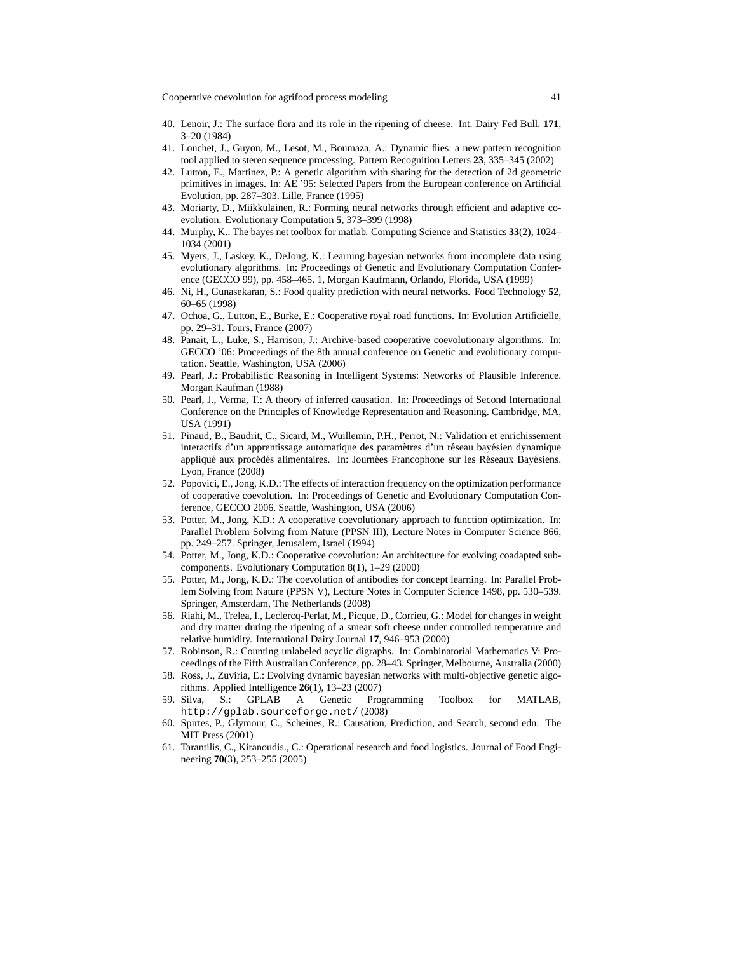<span id="page-40-9"></span>Cooperative coevolution for agrifood process modeling 41

- 40. Lenoir, J.: The surface flora and its role in the ripening of cheese. Int. Dairy Fed Bull. **171**, 3–20 (1984)
- <span id="page-40-19"></span>41. Louchet, J., Guyon, M., Lesot, M., Boumaza, A.: Dynamic flies: a new pattern recognition tool applied to stereo sequence processing. Pattern Recognition Letters **23**, 335–345 (2002)
- <span id="page-40-20"></span>42. Lutton, E., Martinez, P.: A genetic algorithm with sharing for the detection of 2d geometric primitives in images. In: AE '95: Selected Papers from the European conference on Artificial Evolution, pp. 287–303. Lille, France (1995)
- <span id="page-40-1"></span>43. Moriarty, D., Miikkulainen, R.: Forming neural networks through efficient and adaptive coevolution. Evolutionary Computation **5**, 373–399 (1998)
- <span id="page-40-21"></span>44. Murphy, K.: The bayes net toolbox for matlab. Computing Science and Statistics **33**(2), 1024– 1034 (2001)
- <span id="page-40-13"></span>45. Myers, J., Laskey, K., DeJong, K.: Learning bayesian networks from incomplete data using evolutionary algorithms. In: Proceedings of Genetic and Evolutionary Computation Conference (GECCO 99), pp. 458–465. 1, Morgan Kaufmann, Orlando, Florida, USA (1999)
- <span id="page-40-7"></span>46. Ni, H., Gunasekaran, S.: Food quality prediction with neural networks. Food Technology **52**, 60–65 (1998)
- <span id="page-40-6"></span>47. Ochoa, G., Lutton, E., Burke, E.: Cooperative royal road functions. In: Evolution Artificielle, pp. 29–31. Tours, France (2007)
- <span id="page-40-4"></span>48. Panait, L., Luke, S., Harrison, J.: Archive-based cooperative coevolutionary algorithms. In: GECCO '06: Proceedings of the 8th annual conference on Genetic and evolutionary computation. Seattle, Washington, USA (2006)
- <span id="page-40-18"></span>49. Pearl, J.: Probabilistic Reasoning in Intelligent Systems: Networks of Plausible Inference. Morgan Kaufman (1988)
- <span id="page-40-17"></span>50. Pearl, J., Verma, T.: A theory of inferred causation. In: Proceedings of Second International Conference on the Principles of Knowledge Representation and Reasoning. Cambridge, MA, USA (1991)
- <span id="page-40-11"></span>51. Pinaud, B., Baudrit, C., Sicard, M., Wuillemin, P.H., Perrot, N.: Validation et enrichissement interactifs d'un apprentissage automatique des paramètres d'un réseau bayésien dynamique appliqué aux procédés alimentaires. In: Journées Francophone sur les Réseaux Bayésiens. Lyon, France (2008)
- <span id="page-40-5"></span>52. Popovici, E., Jong, K.D.: The effects of interaction frequency on the optimization performance of cooperative coevolution. In: Proceedings of Genetic and Evolutionary Computation Conference, GECCO 2006. Seattle, Washington, USA (2006)
- <span id="page-40-0"></span>53. Potter, M., Jong, K.D.: A cooperative coevolutionary approach to function optimization. In: Parallel Problem Solving from Nature (PPSN III), Lecture Notes in Computer Science 866, pp. 249–257. Springer, Jerusalem, Israel (1994)
- <span id="page-40-3"></span>54. Potter, M., Jong, K.D.: Cooperative coevolution: An architecture for evolving coadapted subcomponents. Evolutionary Computation **8**(1), 1–29 (2000)
- <span id="page-40-2"></span>55. Potter, M., Jong, K.D.: The coevolution of antibodies for concept learning. In: Parallel Problem Solving from Nature (PPSN V), Lecture Notes in Computer Science 1498, pp. 530–539. Springer, Amsterdam, The Netherlands (2008)
- <span id="page-40-8"></span>56. Riahi, M., Trelea, I., Leclercq-Perlat, M., Picque, D., Corrieu, G.: Model for changes in weight and dry matter during the ripening of a smear soft cheese under controlled temperature and relative humidity. International Dairy Journal **17**, 946–953 (2000)
- <span id="page-40-15"></span>57. Robinson, R.: Counting unlabeled acyclic digraphs. In: Combinatorial Mathematics V: Proceedings of the Fifth Australian Conference, pp. 28–43. Springer, Melbourne, Australia (2000)
- <span id="page-40-14"></span>58. Ross, J., Zuviria, E.: Evolving dynamic bayesian networks with multi-objective genetic algorithms. Applied Intelligence **26**(1), 13–23 (2007)
- <span id="page-40-12"></span>59. Silva, S.: GPLAB A Genetic Programming Toolbox for MATLAB, http://gplab.sourceforge.net/ (2008)
- <span id="page-40-16"></span>60. Spirtes, P., Glymour, C., Scheines, R.: Causation, Prediction, and Search, second edn. The MIT Press (2001)
- <span id="page-40-10"></span>61. Tarantilis, C., Kiranoudis., C.: Operational research and food logistics. Journal of Food Engineering **70**(3), 253–255 (2005)